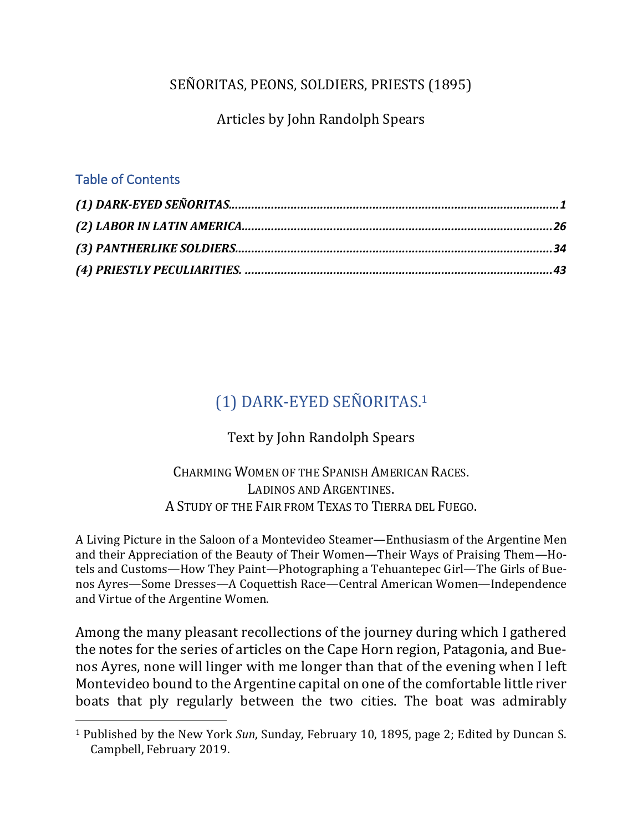## SEÑORITAS, PEONS, SOLDIERS, PRIESTS (1895)

Articles by John Randolph Spears

#### Table of Contents

 $\overline{a}$ 

# (1) DARK-EYED SEÑORITAS.<sup>1</sup>

Text by John Randolph Spears

### CHARMING WOMEN OF THE SPANISH AMERICAN RACES. LADINOS AND ARGENTINES. A STUDY OF THE FAIR FROM TEXAS TO TIERRA DEL FUEGO.

A Living Picture in the Saloon of a Montevideo Steamer—Enthusiasm of the Argentine Men and their Appreciation of the Beauty of Their Women—Their Ways of Praising Them—Hotels and Customs—How They Paint—Photographing a Tehuantepec Girl—The Girls of Buenos Ayres—Some Dresses—A Coquettish Race—Central American Women—Independence and Virtue of the Argentine Women.

Among the many pleasant recollections of the journey during which I gathered the notes for the series of articles on the Cape Horn region, Patagonia, and Buenos Ayres, none will linger with me longer than that of the evening when I left Montevideo bound to the Argentine capital on one of the comfortable little river boats that ply regularly between the two cities. The boat was admirably

<sup>&</sup>lt;sup>1</sup> Published by the New York *Sun*, Sunday, February 10, 1895, page 2; Edited by Duncan S. Campbell, February 2019.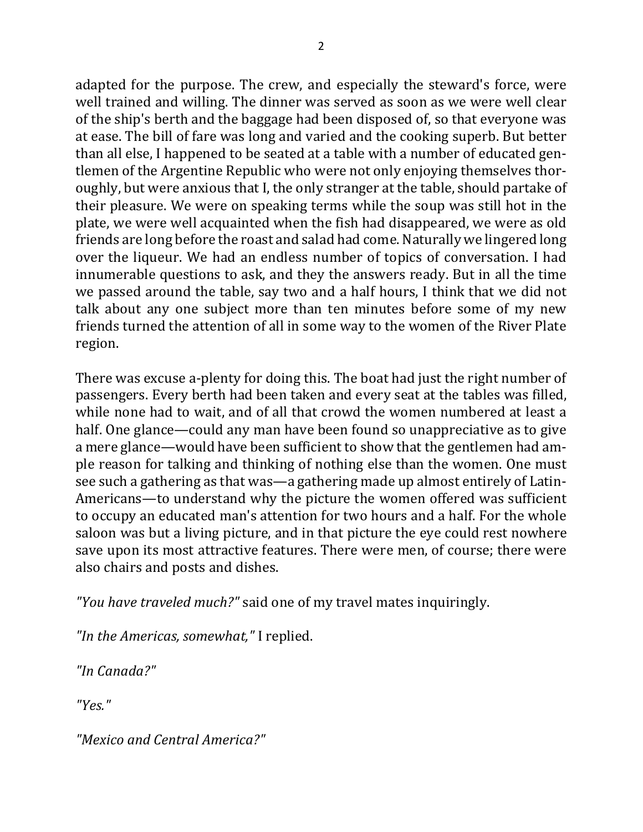adapted for the purpose. The crew, and especially the steward's force, were well trained and willing. The dinner was served as soon as we were well clear of the ship's berth and the baggage had been disposed of, so that everyone was at ease. The bill of fare was long and varied and the cooking superb. But better than all else. I happened to be seated at a table with a number of educated gentlemen of the Argentine Republic who were not only enjoying themselves thoroughly, but were anxious that I, the only stranger at the table, should partake of their pleasure. We were on speaking terms while the soup was still hot in the plate, we were well acquainted when the fish had disappeared, we were as old friends are long before the roast and salad had come. Naturally we lingered long over the liqueur. We had an endless number of topics of conversation. I had innumerable questions to ask, and they the answers ready. But in all the time we passed around the table, say two and a half hours, I think that we did not talk about any one subject more than ten minutes before some of my new friends turned the attention of all in some way to the women of the River Plate region.

There was excuse a-plenty for doing this. The boat had just the right number of passengers. Every berth had been taken and every seat at the tables was filled, while none had to wait, and of all that crowd the women numbered at least a half. One glance—could any man have been found so unappreciative as to give a mere glance—would have been sufficient to show that the gentlemen had ample reason for talking and thinking of nothing else than the women. One must see such a gathering as that was—a gathering made up almost entirely of Latin-Americans—to understand why the picture the women offered was sufficient to occupy an educated man's attention for two hours and a half. For the whole saloon was but a living picture, and in that picture the eye could rest nowhere save upon its most attractive features. There were men, of course; there were also chairs and posts and dishes.

"You have traveled much?" said one of my travel mates inquiringly.

*"In the Americas, somewhat,"* I replied.

*"In Canada?"*

*"Yes."*

*"Mexico and Central America?"*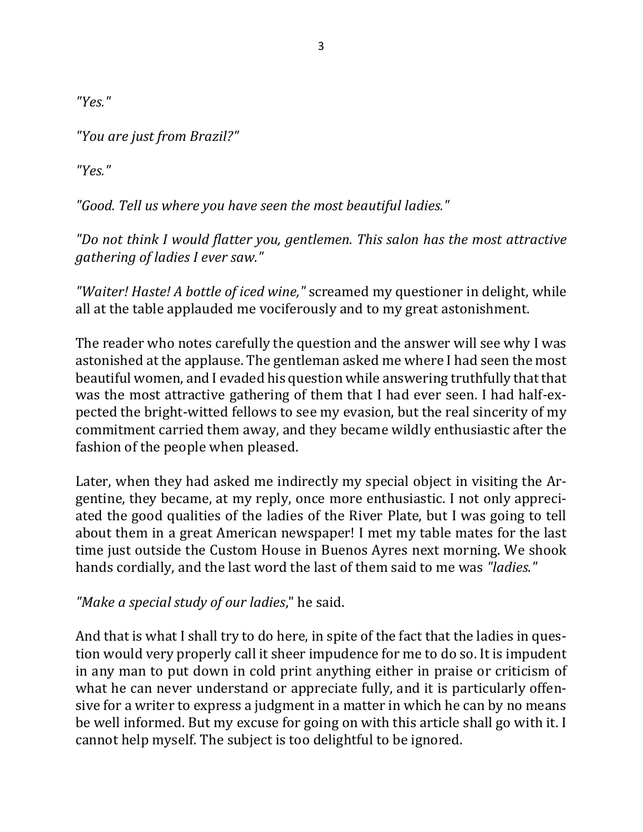*"Yes."*

*"You are just from Brazil?"*

*"Yes."*

"Good. Tell us where you have seen the most beautiful ladies."

"Do not think I would flatter you, gentlemen. This salon has the most attractive *gathering of ladies I ever saw."* 

*"Waiter! Haste! A bottle of iced wine,"* screamed my questioner in delight, while all at the table applauded me vociferously and to my great astonishment.

The reader who notes carefully the question and the answer will see why I was astonished at the applause. The gentleman asked me where I had seen the most beautiful women, and I evaded his question while answering truthfully that that was the most attractive gathering of them that I had ever seen. I had half-expected the bright-witted fellows to see my evasion, but the real sincerity of my commitment carried them away, and they became wildly enthusiastic after the fashion of the people when pleased.

Later, when they had asked me indirectly my special object in visiting the Argentine, they became, at my reply, once more enthusiastic. I not only appreciated the good qualities of the ladies of the River Plate, but I was going to tell about them in a great American newspaper! I met my table mates for the last time just outside the Custom House in Buenos Ayres next morning. We shook hands cordially, and the last word the last of them said to me was *"ladies."* 

*"Make a special study of our ladies*," he said.

And that is what I shall try to do here, in spite of the fact that the ladies in question would very properly call it sheer impudence for me to do so. It is impudent in any man to put down in cold print anything either in praise or criticism of what he can never understand or appreciate fully, and it is particularly offensive for a writer to express a judgment in a matter in which he can by no means be well informed. But my excuse for going on with this article shall go with it. I cannot help myself. The subject is too delightful to be ignored.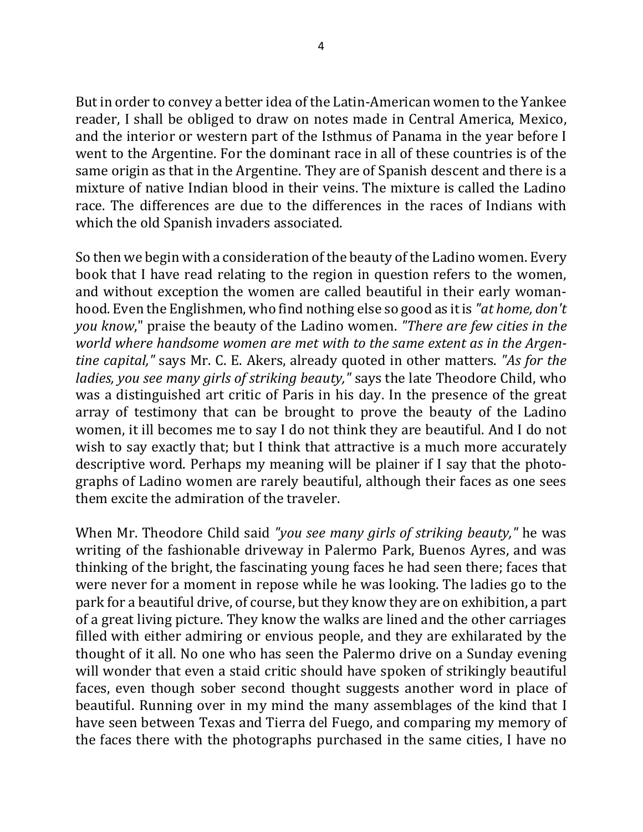But in order to convey a better idea of the Latin-American women to the Yankee reader, I shall be obliged to draw on notes made in Central America, Mexico, and the interior or western part of the Isthmus of Panama in the year before I went to the Argentine. For the dominant race in all of these countries is of the same origin as that in the Argentine. They are of Spanish descent and there is a mixture of native Indian blood in their veins. The mixture is called the Ladino race. The differences are due to the differences in the races of Indians with which the old Spanish invaders associated.

So then we begin with a consideration of the beauty of the Ladino women. Every book that I have read relating to the region in question refers to the women, and without exception the women are called beautiful in their early womanhood. Even the Englishmen, who find nothing else so good as it is "*at home, don't you know*," praise the beauty of the Ladino women. "There are few cities in the world where handsome women are met with to the same extent as in the Argen*tine capital,"* says Mr. C. E. Akers, already quoted in other matters. "As for the *ladies, you see many girls of striking beauty,"* says the late Theodore Child, who was a distinguished art critic of Paris in his day. In the presence of the great array of testimony that can be brought to prove the beauty of the Ladino women, it ill becomes me to say I do not think they are beautiful. And I do not wish to say exactly that; but I think that attractive is a much more accurately descriptive word. Perhaps my meaning will be plainer if I say that the photographs of Ladino women are rarely beautiful, although their faces as one sees them excite the admiration of the traveler.

When Mr. Theodore Child said "*you see many girls of striking beauty*," he was writing of the fashionable driveway in Palermo Park, Buenos Ayres, and was thinking of the bright, the fascinating young faces he had seen there; faces that were never for a moment in repose while he was looking. The ladies go to the park for a beautiful drive, of course, but they know they are on exhibition, a part of a great living picture. They know the walks are lined and the other carriages filled with either admiring or envious people, and they are exhilarated by the thought of it all. No one who has seen the Palermo drive on a Sunday evening will wonder that even a staid critic should have spoken of strikingly beautiful faces, even though sober second thought suggests another word in place of beautiful. Running over in my mind the many assemblages of the kind that I have seen between Texas and Tierra del Fuego, and comparing my memory of the faces there with the photographs purchased in the same cities, I have no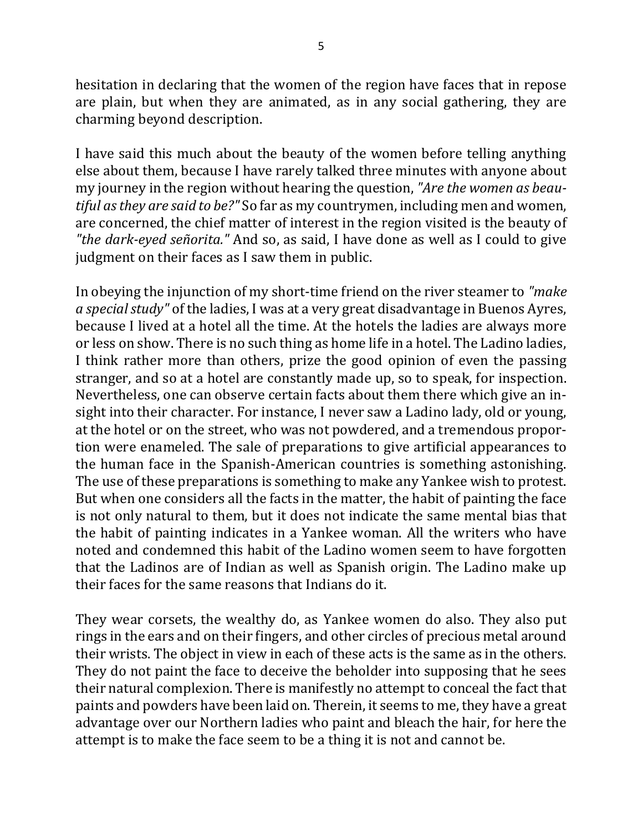hesitation in declaring that the women of the region have faces that in repose are plain, but when they are animated, as in any social gathering, they are charming beyond description.

I have said this much about the beauty of the women before telling anything else about them, because I have rarely talked three minutes with anyone about my journey in the region without hearing the question, "Are the women as beau*tiful as they are said to be?"* So far as my countrymen, including men and women, are concerned, the chief matter of interest in the region visited is the beauty of *"the dark-eyed señorita."* And so, as said, I have done as well as I could to give judgment on their faces as I saw them in public.

In obeying the injunction of my short-time friend on the river steamer to "make" *a special study*" of the ladies, I was at a very great disadvantage in Buenos Ayres, because I lived at a hotel all the time. At the hotels the ladies are always more or less on show. There is no such thing as home life in a hotel. The Ladino ladies, I think rather more than others, prize the good opinion of even the passing stranger, and so at a hotel are constantly made up, so to speak, for inspection. Nevertheless, one can observe certain facts about them there which give an insight into their character. For instance, I never saw a Ladino lady, old or young, at the hotel or on the street, who was not powdered, and a tremendous proportion were enameled. The sale of preparations to give artificial appearances to the human face in the Spanish-American countries is something astonishing. The use of these preparations is something to make any Yankee wish to protest. But when one considers all the facts in the matter, the habit of painting the face is not only natural to them, but it does not indicate the same mental bias that the habit of painting indicates in a Yankee woman. All the writers who have noted and condemned this habit of the Ladino women seem to have forgotten that the Ladinos are of Indian as well as Spanish origin. The Ladino make up their faces for the same reasons that Indians do it.

They wear corsets, the wealthy do, as Yankee women do also. They also put rings in the ears and on their fingers, and other circles of precious metal around their wrists. The object in view in each of these acts is the same as in the others. They do not paint the face to deceive the beholder into supposing that he sees their natural complexion. There is manifestly no attempt to conceal the fact that paints and powders have been laid on. Therein, it seems to me, they have a great advantage over our Northern ladies who paint and bleach the hair, for here the attempt is to make the face seem to be a thing it is not and cannot be.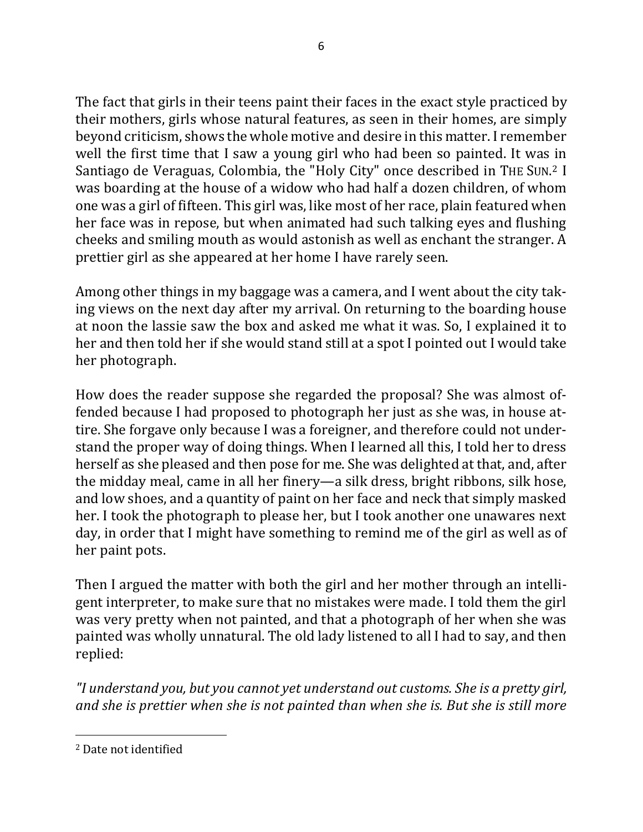The fact that girls in their teens paint their faces in the exact style practiced by their mothers, girls whose natural features, as seen in their homes, are simply beyond criticism, shows the whole motive and desire in this matter. I remember well the first time that I saw a young girl who had been so painted. It was in Santiago de Veraguas, Colombia, the "Holy City" once described in THE SUN.<sup>2</sup> I was boarding at the house of a widow who had half a dozen children, of whom one was a girl of fifteen. This girl was, like most of her race, plain featured when her face was in repose, but when animated had such talking eyes and flushing cheeks and smiling mouth as would astonish as well as enchant the stranger. A prettier girl as she appeared at her home I have rarely seen.

Among other things in my baggage was a camera, and I went about the city taking views on the next day after my arrival. On returning to the boarding house at noon the lassie saw the box and asked me what it was. So, I explained it to her and then told her if she would stand still at a spot I pointed out I would take her photograph.

How does the reader suppose she regarded the proposal? She was almost offended because I had proposed to photograph her just as she was, in house attire. She forgave only because I was a foreigner, and therefore could not understand the proper way of doing things. When I learned all this, I told her to dress herself as she pleased and then pose for me. She was delighted at that, and, after the midday meal, came in all her finery—a silk dress, bright ribbons, silk hose, and low shoes, and a quantity of paint on her face and neck that simply masked her. I took the photograph to please her, but I took another one unawares next day, in order that I might have something to remind me of the girl as well as of her paint pots.

Then I argued the matter with both the girl and her mother through an intelligent interpreter, to make sure that no mistakes were made. I told them the girl was very pretty when not painted, and that a photograph of her when she was painted was wholly unnatural. The old lady listened to all I had to say, and then replied:

*"I understand you, but you cannot yet understand out customs. She is a pretty girl,*  and she is prettier when she is not painted than when she is. But she is still more

<sup>&</sup>lt;sup>2</sup> Date not identified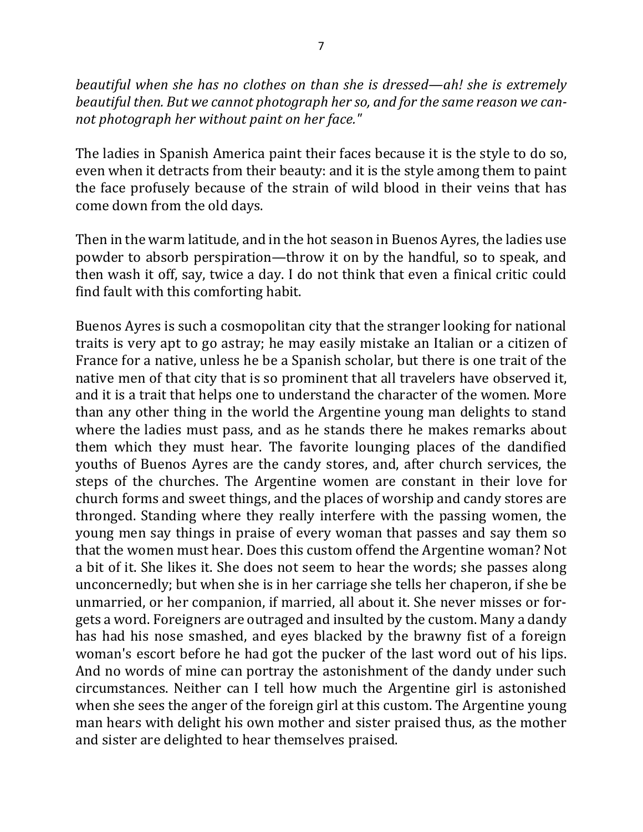*beautiful* when she has no clothes on than she is dressed—ah! she is extremely beautiful then. But we cannot photograph her so, and for the same reason we cannot photograph her without paint on her face."

The ladies in Spanish America paint their faces because it is the style to do so, even when it detracts from their beauty: and it is the style among them to paint the face profusely because of the strain of wild blood in their veins that has come down from the old days.

Then in the warm latitude, and in the hot season in Buenos Ayres, the ladies use powder to absorb perspiration—throw it on by the handful, so to speak, and then wash it off, say, twice a day. I do not think that even a finical critic could find fault with this comforting habit.

Buenos Ayres is such a cosmopolitan city that the stranger looking for national traits is very apt to go astray; he may easily mistake an Italian or a citizen of France for a native, unless he be a Spanish scholar, but there is one trait of the native men of that city that is so prominent that all travelers have observed it, and it is a trait that helps one to understand the character of the women. More than any other thing in the world the Argentine young man delights to stand where the ladies must pass, and as he stands there he makes remarks about them which they must hear. The favorite lounging places of the dandified youths of Buenos Ayres are the candy stores, and, after church services, the steps of the churches. The Argentine women are constant in their love for church forms and sweet things, and the places of worship and candy stores are thronged. Standing where they really interfere with the passing women, the young men say things in praise of every woman that passes and say them so that the women must hear. Does this custom offend the Argentine woman? Not a bit of it. She likes it. She does not seem to hear the words; she passes along unconcernedly; but when she is in her carriage she tells her chaperon, if she be unmarried, or her companion, if married, all about it. She never misses or forgets a word. Foreigners are outraged and insulted by the custom. Many a dandy has had his nose smashed, and eyes blacked by the brawny fist of a foreign woman's escort before he had got the pucker of the last word out of his lips. And no words of mine can portray the astonishment of the dandy under such circumstances. Neither can I tell how much the Argentine girl is astonished when she sees the anger of the foreign girl at this custom. The Argentine young man hears with delight his own mother and sister praised thus, as the mother and sister are delighted to hear themselves praised.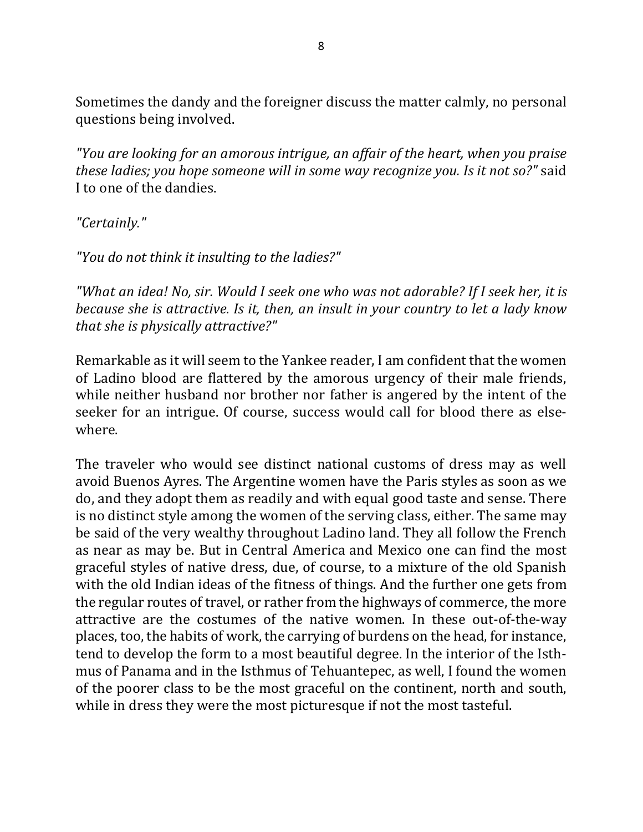Sometimes the dandy and the foreigner discuss the matter calmly, no personal questions being involved.

*"You are looking for an amorous intrigue, an affair of the heart, when you praise these ladies; you hope someone will in some way recognize you. Is it not so?"* said I to one of the dandies.

*"Certainly."*

*"You do not think it insulting to the ladies?"*

"What an idea! No, sir. Would I seek one who was not adorable? If I seek her, it is *because she is attractive. Is it, then, an insult in your country to let a lady know that she is physically attractive?"* 

Remarkable as it will seem to the Yankee reader, I am confident that the women of Ladino blood are flattered by the amorous urgency of their male friends, while neither husband nor brother nor father is angered by the intent of the seeker for an intrigue. Of course, success would call for blood there as elsewhere.

The traveler who would see distinct national customs of dress may as well avoid Buenos Ayres. The Argentine women have the Paris styles as soon as we do, and they adopt them as readily and with equal good taste and sense. There is no distinct style among the women of the serving class, either. The same may be said of the very wealthy throughout Ladino land. They all follow the French as near as may be. But in Central America and Mexico one can find the most graceful styles of native dress, due, of course, to a mixture of the old Spanish with the old Indian ideas of the fitness of things. And the further one gets from the regular routes of travel, or rather from the highways of commerce, the more attractive are the costumes of the native women. In these out-of-the-way places, too, the habits of work, the carrying of burdens on the head, for instance, tend to develop the form to a most beautiful degree. In the interior of the Isthmus of Panama and in the Isthmus of Tehuantepec, as well, I found the women of the poorer class to be the most graceful on the continent, north and south, while in dress they were the most picturesque if not the most tasteful.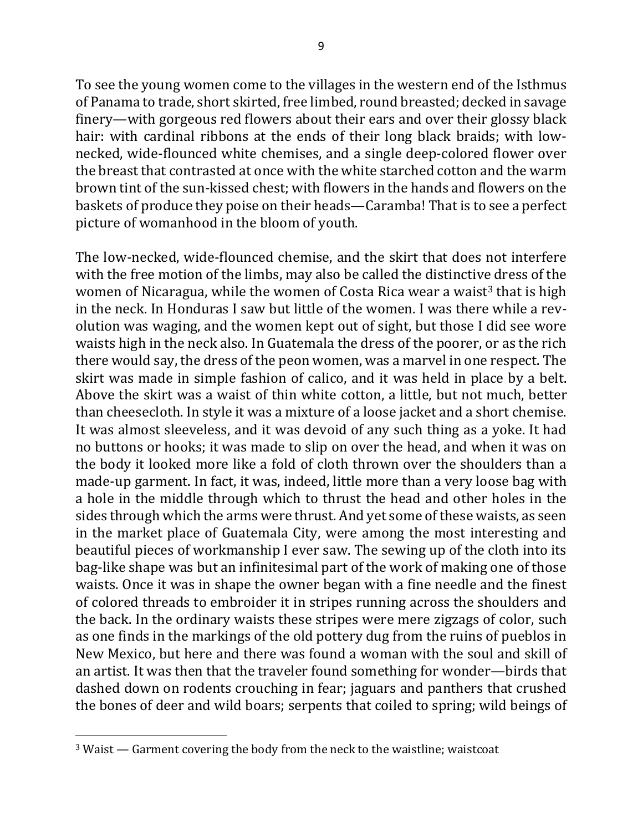To see the young women come to the villages in the western end of the Isthmus of Panama to trade, short skirted, free limbed, round breasted; decked in savage finery—with gorgeous red flowers about their ears and over their glossy black hair: with cardinal ribbons at the ends of their long black braids; with lownecked, wide-flounced white chemises, and a single deep-colored flower over the breast that contrasted at once with the white starched cotton and the warm brown tint of the sun-kissed chest; with flowers in the hands and flowers on the baskets of produce they poise on their heads—Caramba! That is to see a perfect picture of womanhood in the bloom of youth.

The low-necked, wide-flounced chemise, and the skirt that does not interfere with the free motion of the limbs, may also be called the distinctive dress of the women of Nicaragua, while the women of Costa Rica wear a waist<sup>3</sup> that is high in the neck. In Honduras I saw but little of the women. I was there while a revolution was waging, and the women kept out of sight, but those I did see wore waists high in the neck also. In Guatemala the dress of the poorer, or as the rich there would say, the dress of the peon women, was a marvel in one respect. The skirt was made in simple fashion of calico, and it was held in place by a belt. Above the skirt was a waist of thin white cotton, a little, but not much, better than cheesecloth. In style it was a mixture of a loose jacket and a short chemise. It was almost sleeveless, and it was devoid of any such thing as a yoke. It had no buttons or hooks; it was made to slip on over the head, and when it was on the body it looked more like a fold of cloth thrown over the shoulders than a made-up garment. In fact, it was, indeed, little more than a very loose bag with a hole in the middle through which to thrust the head and other holes in the sides through which the arms were thrust. And yet some of these waists, as seen in the market place of Guatemala City, were among the most interesting and beautiful pieces of workmanship I ever saw. The sewing up of the cloth into its bag-like shape was but an infinitesimal part of the work of making one of those waists. Once it was in shape the owner began with a fine needle and the finest of colored threads to embroider it in stripes running across the shoulders and the back. In the ordinary waists these stripes were mere zigzags of color, such as one finds in the markings of the old pottery dug from the ruins of pueblos in New Mexico, but here and there was found a woman with the soul and skill of an artist. It was then that the traveler found something for wonder—birds that dashed down on rodents crouching in fear; jaguars and panthers that crushed the bones of deer and wild boars; serpents that coiled to spring; wild beings of

 $3$  Waist  $-$  Garment covering the body from the neck to the waistline; waistcoat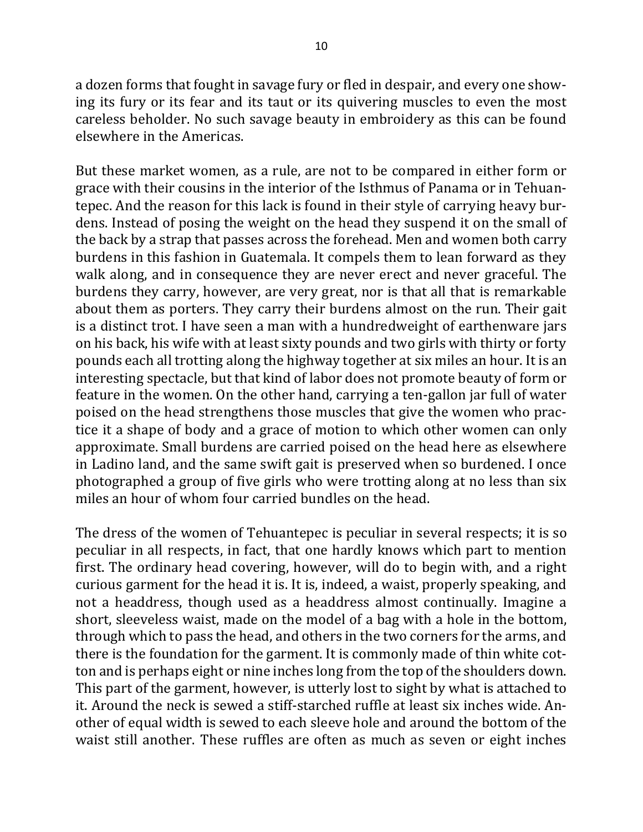a dozen forms that fought in savage fury or fled in despair, and every one showing its fury or its fear and its taut or its quivering muscles to even the most careless beholder. No such savage beauty in embroidery as this can be found elsewhere in the Americas.

But these market women, as a rule, are not to be compared in either form or grace with their cousins in the interior of the Isthmus of Panama or in Tehuantepec. And the reason for this lack is found in their style of carrying heavy burdens. Instead of posing the weight on the head they suspend it on the small of the back by a strap that passes across the forehead. Men and women both carry burdens in this fashion in Guatemala. It compels them to lean forward as they walk along, and in consequence they are never erect and never graceful. The burdens they carry, however, are very great, nor is that all that is remarkable about them as porters. They carry their burdens almost on the run. Their gait is a distinct trot. I have seen a man with a hundredweight of earthenware jars on his back, his wife with at least sixty pounds and two girls with thirty or forty pounds each all trotting along the highway together at six miles an hour. It is an interesting spectacle, but that kind of labor does not promote beauty of form or feature in the women. On the other hand, carrying a ten-gallon jar full of water poised on the head strengthens those muscles that give the women who practice it a shape of body and a grace of motion to which other women can only approximate. Small burdens are carried poised on the head here as elsewhere in Ladino land, and the same swift gait is preserved when so burdened. I once photographed a group of five girls who were trotting along at no less than six miles an hour of whom four carried bundles on the head.

The dress of the women of Tehuantepec is peculiar in several respects; it is so peculiar in all respects, in fact, that one hardly knows which part to mention first. The ordinary head covering, however, will do to begin with, and a right curious garment for the head it is. It is, indeed, a waist, properly speaking, and not a headdress, though used as a headdress almost continually. Imagine a short, sleeveless waist, made on the model of a bag with a hole in the bottom, through which to pass the head, and others in the two corners for the arms, and there is the foundation for the garment. It is commonly made of thin white cotton and is perhaps eight or nine inches long from the top of the shoulders down. This part of the garment, however, is utterly lost to sight by what is attached to it. Around the neck is sewed a stiff-starched ruffle at least six inches wide. Another of equal width is sewed to each sleeve hole and around the bottom of the waist still another. These ruffles are often as much as seven or eight inches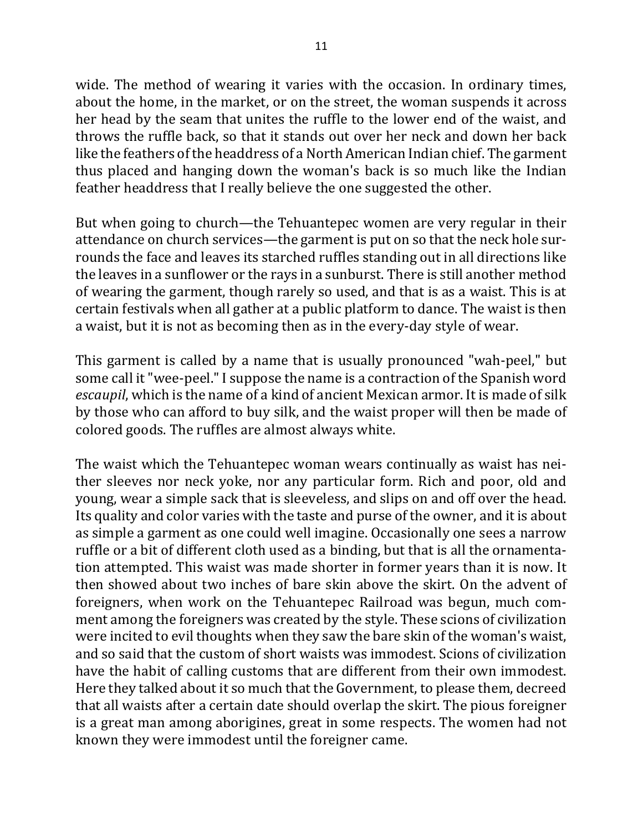wide. The method of wearing it varies with the occasion. In ordinary times, about the home, in the market, or on the street, the woman suspends it across her head by the seam that unites the ruffle to the lower end of the waist, and throws the ruffle back, so that it stands out over her neck and down her back like the feathers of the headdress of a North American Indian chief. The garment thus placed and hanging down the woman's back is so much like the Indian feather headdress that I really believe the one suggested the other.

But when going to church—the Tehuantepec women are very regular in their attendance on church services—the garment is put on so that the neck hole surrounds the face and leaves its starched ruffles standing out in all directions like the leaves in a sunflower or the rays in a sunburst. There is still another method of wearing the garment, though rarely so used, and that is as a waist. This is at certain festivals when all gather at a public platform to dance. The waist is then a waist, but it is not as becoming then as in the every-day style of wear.

This garment is called by a name that is usually pronounced "wah-peel," but some call it "wee-peel." I suppose the name is a contraction of the Spanish word *escaupil*, which is the name of a kind of ancient Mexican armor. It is made of silk by those who can afford to buy silk, and the waist proper will then be made of colored goods. The ruffles are almost always white.

The waist which the Tehuantepec woman wears continually as waist has neither sleeves nor neck yoke, nor any particular form. Rich and poor, old and young, wear a simple sack that is sleeveless, and slips on and off over the head. Its quality and color varies with the taste and purse of the owner, and it is about as simple a garment as one could well imagine. Occasionally one sees a narrow ruffle or a bit of different cloth used as a binding, but that is all the ornamentation attempted. This waist was made shorter in former years than it is now. It then showed about two inches of bare skin above the skirt. On the advent of foreigners, when work on the Tehuantepec Railroad was begun, much comment among the foreigners was created by the style. These scions of civilization were incited to evil thoughts when they saw the bare skin of the woman's waist, and so said that the custom of short waists was immodest. Scions of civilization have the habit of calling customs that are different from their own immodest. Here they talked about it so much that the Government, to please them, decreed that all waists after a certain date should overlap the skirt. The pious foreigner is a great man among aborigines, great in some respects. The women had not known they were immodest until the foreigner came.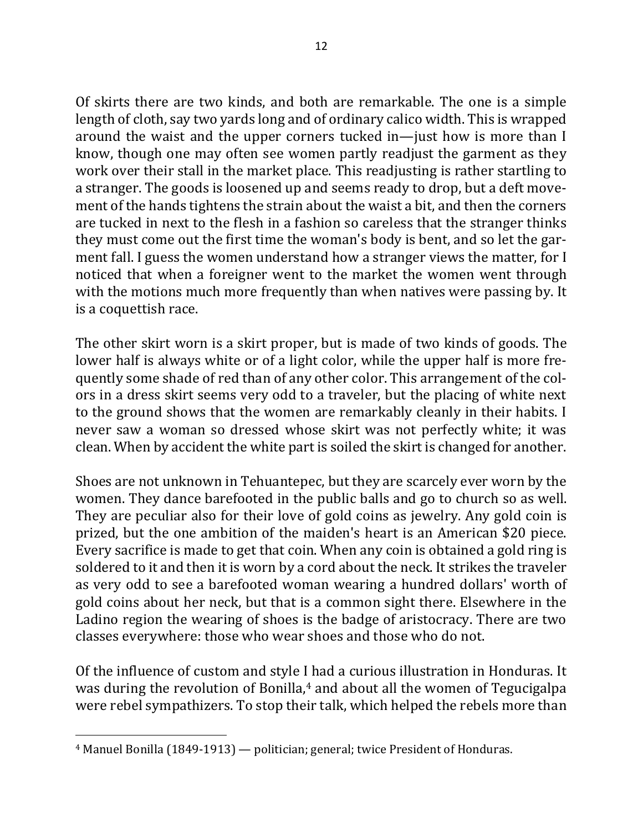Of skirts there are two kinds, and both are remarkable. The one is a simple length of cloth, say two yards long and of ordinary calico width. This is wrapped around the waist and the upper corners tucked in—just how is more than I know, though one may often see women partly readjust the garment as they work over their stall in the market place. This readjusting is rather startling to a stranger. The goods is loosened up and seems ready to drop, but a deft movement of the hands tightens the strain about the waist a bit, and then the corners are tucked in next to the flesh in a fashion so careless that the stranger thinks they must come out the first time the woman's body is bent, and so let the garment fall. I guess the women understand how a stranger views the matter, for I noticed that when a foreigner went to the market the women went through with the motions much more frequently than when natives were passing by. It is a coquettish race.

The other skirt worn is a skirt proper, but is made of two kinds of goods. The lower half is always white or of a light color, while the upper half is more frequently some shade of red than of any other color. This arrangement of the colors in a dress skirt seems very odd to a traveler, but the placing of white next to the ground shows that the women are remarkably cleanly in their habits. I never saw a woman so dressed whose skirt was not perfectly white; it was clean. When by accident the white part is soiled the skirt is changed for another.

Shoes are not unknown in Tehuantepec, but they are scarcely ever worn by the women. They dance barefooted in the public balls and go to church so as well. They are peculiar also for their love of gold coins as jewelry. Any gold coin is prized, but the one ambition of the maiden's heart is an American \$20 piece. Every sacrifice is made to get that coin. When any coin is obtained a gold ring is soldered to it and then it is worn by a cord about the neck. It strikes the traveler as very odd to see a barefooted woman wearing a hundred dollars' worth of gold coins about her neck, but that is a common sight there. Elsewhere in the Ladino region the wearing of shoes is the badge of aristocracy. There are two classes everywhere: those who wear shoes and those who do not.

Of the influence of custom and style I had a curious illustration in Honduras. It was during the revolution of Bonilla, $4$  and about all the women of Tegucigalpa were rebel sympathizers. To stop their talk, which helped the rebels more than

 $4$  Manuel Bonilla (1849-1913) — politician; general; twice President of Honduras.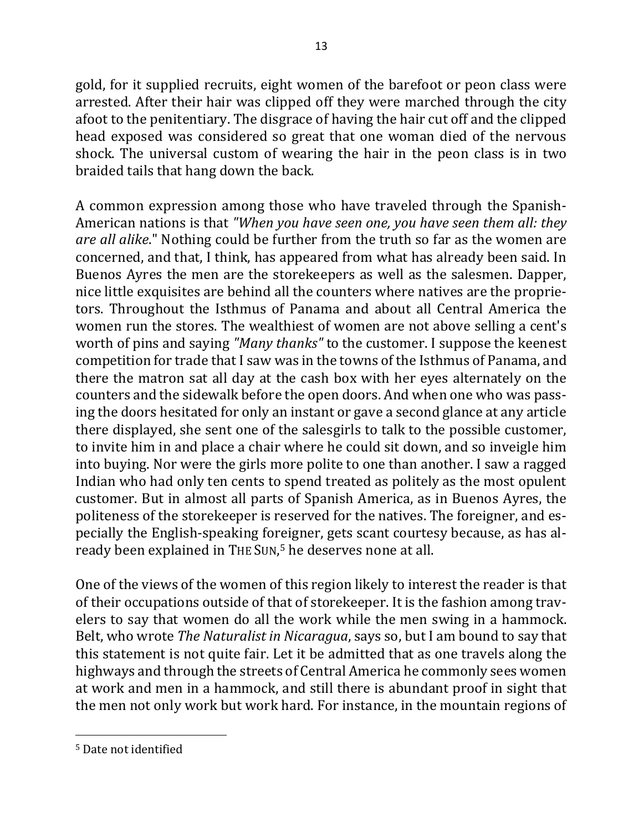gold, for it supplied recruits, eight women of the barefoot or peon class were arrested. After their hair was clipped off they were marched through the city afoot to the penitentiary. The disgrace of having the hair cut off and the clipped head exposed was considered so great that one woman died of the nervous shock. The universal custom of wearing the hair in the peon class is in two braided tails that hang down the back.

A common expression among those who have traveled through the Spanish-American nations is that "When you have seen one, you have seen them all: they *are all alike*." Nothing could be further from the truth so far as the women are concerned, and that, I think, has appeared from what has already been said. In Buenos Ayres the men are the storekeepers as well as the salesmen. Dapper, nice little exquisites are behind all the counters where natives are the proprietors. Throughout the Isthmus of Panama and about all Central America the women run the stores. The wealthiest of women are not above selling a cent's worth of pins and saying "Many thanks" to the customer. I suppose the keenest competition for trade that I saw was in the towns of the Isthmus of Panama, and there the matron sat all day at the cash box with her eyes alternately on the counters and the sidewalk before the open doors. And when one who was passing the doors hesitated for only an instant or gave a second glance at any article there displayed, she sent one of the salesgirls to talk to the possible customer, to invite him in and place a chair where he could sit down, and so inveigle him into buying. Nor were the girls more polite to one than another. I saw a ragged Indian who had only ten cents to spend treated as politely as the most opulent customer. But in almost all parts of Spanish America, as in Buenos Ayres, the politeness of the storekeeper is reserved for the natives. The foreigner, and especially the English-speaking foreigner, gets scant courtesy because, as has already been explained in THE SUN,<sup>5</sup> he deserves none at all.

One of the views of the women of this region likely to interest the reader is that of their occupations outside of that of storekeeper. It is the fashion among travelers to say that women do all the work while the men swing in a hammock. Belt, who wrote *The Naturalist in Nicaragua*, says so, but I am bound to say that this statement is not quite fair. Let it be admitted that as one travels along the highways and through the streets of Central America he commonly sees women at work and men in a hammock, and still there is abundant proof in sight that the men not only work but work hard. For instance, in the mountain regions of

<sup>&</sup>lt;sup>5</sup> Date not identified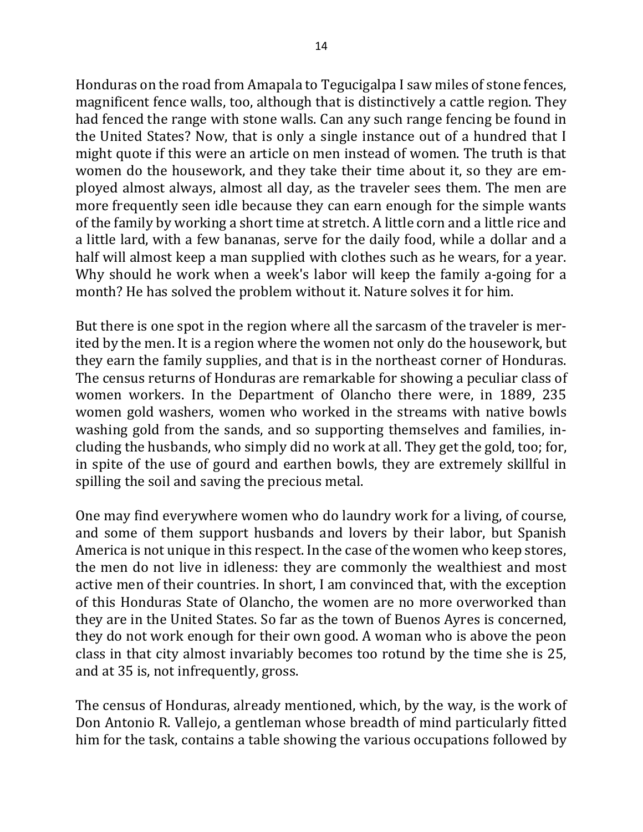Honduras on the road from Amapala to Tegucigalpa I saw miles of stone fences, magnificent fence walls, too, although that is distinctively a cattle region. They had fenced the range with stone walls. Can any such range fencing be found in the United States? Now, that is only a single instance out of a hundred that I might quote if this were an article on men instead of women. The truth is that women do the housework, and they take their time about it, so they are employed almost always, almost all day, as the traveler sees them. The men are more frequently seen idle because they can earn enough for the simple wants of the family by working a short time at stretch. A little corn and a little rice and a little lard, with a few bananas, serve for the daily food, while a dollar and a half will almost keep a man supplied with clothes such as he wears, for a year. Why should he work when a week's labor will keep the family a-going for a month? He has solved the problem without it. Nature solves it for him.

But there is one spot in the region where all the sarcasm of the traveler is merited by the men. It is a region where the women not only do the housework, but they earn the family supplies, and that is in the northeast corner of Honduras. The census returns of Honduras are remarkable for showing a peculiar class of women workers. In the Department of Olancho there were, in 1889, 235 women gold washers, women who worked in the streams with native bowls washing gold from the sands, and so supporting themselves and families, including the husbands, who simply did no work at all. They get the gold, too; for, in spite of the use of gourd and earthen bowls, they are extremely skillful in spilling the soil and saving the precious metal.

One may find everywhere women who do laundry work for a living, of course, and some of them support husbands and lovers by their labor, but Spanish America is not unique in this respect. In the case of the women who keep stores, the men do not live in idleness: they are commonly the wealthiest and most active men of their countries. In short, I am convinced that, with the exception of this Honduras State of Olancho, the women are no more overworked than they are in the United States. So far as the town of Buenos Ayres is concerned, they do not work enough for their own good. A woman who is above the peon class in that city almost invariably becomes too rotund by the time she is 25, and at 35 is, not infrequently, gross.

The census of Honduras, already mentioned, which, by the way, is the work of Don Antonio R. Vallejo, a gentleman whose breadth of mind particularly fitted him for the task, contains a table showing the various occupations followed by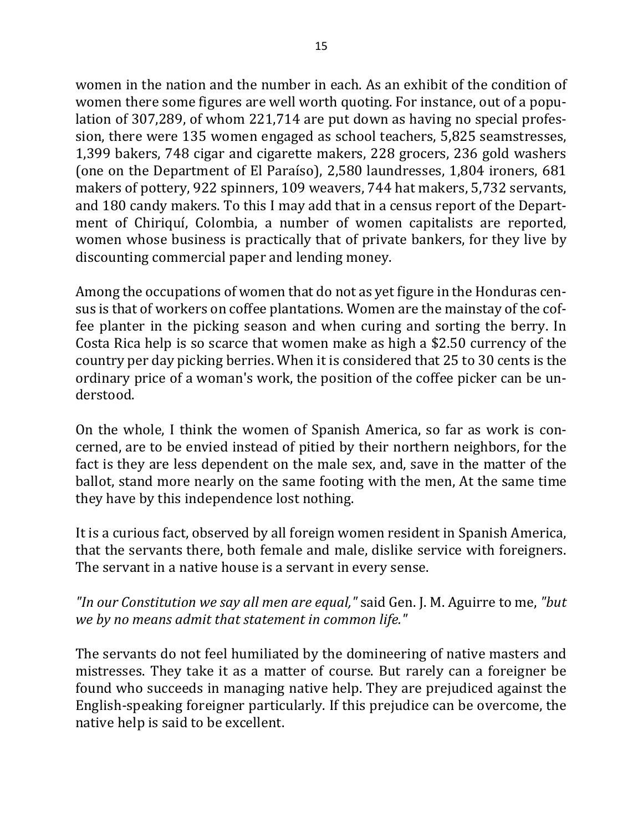women in the nation and the number in each. As an exhibit of the condition of women there some figures are well worth quoting. For instance, out of a population of 307,289, of whom 221,714 are put down as having no special profession, there were 135 women engaged as school teachers, 5,825 seamstresses, 1,399 bakers, 748 cigar and cigarette makers, 228 grocers, 236 gold washers (one on the Department of El Paraíso), 2,580 laundresses, 1,804 ironers, 681 makers of pottery, 922 spinners, 109 weavers, 744 hat makers, 5,732 servants, and 180 candy makers. To this I may add that in a census report of the Department of Chiriquí, Colombia, a number of women capitalists are reported, women whose business is practically that of private bankers, for they live by discounting commercial paper and lending money.

Among the occupations of women that do not as yet figure in the Honduras census is that of workers on coffee plantations. Women are the mainstay of the coffee planter in the picking season and when curing and sorting the berry. In Costa Rica help is so scarce that women make as high a \$2.50 currency of the country per day picking berries. When it is considered that 25 to 30 cents is the ordinary price of a woman's work, the position of the coffee picker can be understood.

On the whole, I think the women of Spanish America, so far as work is concerned, are to be envied instead of pitied by their northern neighbors, for the fact is they are less dependent on the male sex, and, save in the matter of the ballot, stand more nearly on the same footing with the men, At the same time they have by this independence lost nothing.

It is a curious fact, observed by all foreign women resident in Spanish America, that the servants there, both female and male, dislike service with foreigners. The servant in a native house is a servant in every sense.

"In our Constitution we say all men are equal," said Gen. J. M. Aguirre to me, "but we by no means admit that statement in common life."

The servants do not feel humiliated by the domineering of native masters and mistresses. They take it as a matter of course. But rarely can a foreigner be found who succeeds in managing native help. They are prejudiced against the English-speaking foreigner particularly. If this prejudice can be overcome, the native help is said to be excellent.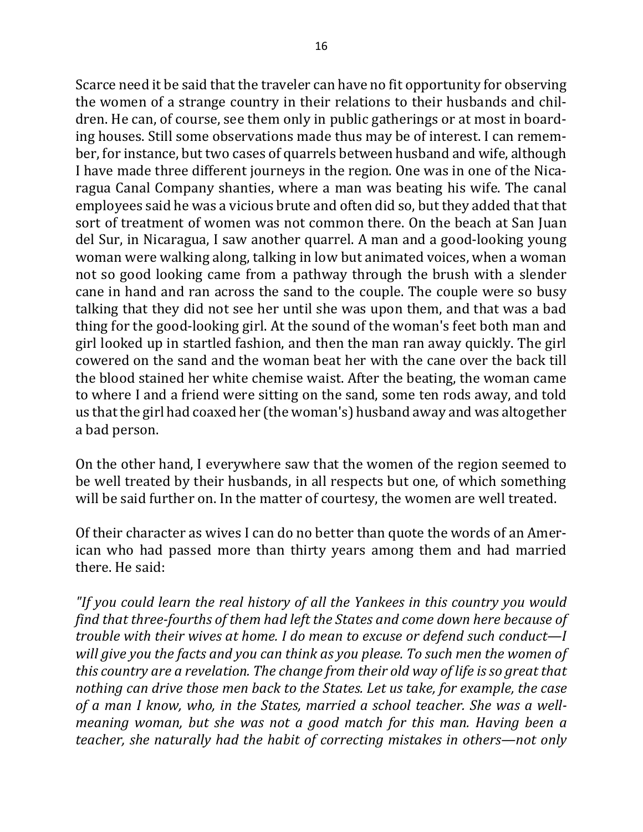Scarce need it be said that the traveler can have no fit opportunity for observing the women of a strange country in their relations to their husbands and children. He can, of course, see them only in public gatherings or at most in boarding houses. Still some observations made thus may be of interest. I can remember, for instance, but two cases of quarrels between husband and wife, although I have made three different journeys in the region. One was in one of the Nicaragua Canal Company shanties, where a man was beating his wife. The canal employees said he was a vicious brute and often did so, but they added that that sort of treatment of women was not common there. On the beach at San Juan del Sur, in Nicaragua, I saw another quarrel. A man and a good-looking young woman were walking along, talking in low but animated voices, when a woman not so good looking came from a pathway through the brush with a slender cane in hand and ran across the sand to the couple. The couple were so busy talking that they did not see her until she was upon them, and that was a bad thing for the good-looking girl. At the sound of the woman's feet both man and girl looked up in startled fashion, and then the man ran away quickly. The girl cowered on the sand and the woman beat her with the cane over the back till the blood stained her white chemise waist. After the beating, the woman came to where I and a friend were sitting on the sand, some ten rods away, and told us that the girl had coaxed her (the woman's) husband away and was altogether a bad person.

On the other hand, I everywhere saw that the women of the region seemed to be well treated by their husbands, in all respects but one, of which something will be said further on. In the matter of courtesy, the women are well treated.

Of their character as wives I can do no better than quote the words of an American who had passed more than thirty years among them and had married there. He said:

"If you could learn the real history of all the Yankees in this country you would find that three-fourths of them had left the States and come down here because of *trouble with their wives at home. I do mean to excuse or defend such conduct—I will give you the facts and you can think as you please. To such men the women of this country are a revelation. The change from their old way of life is so great that nothing can drive those men back to the States. Let us take, for example, the case* of a man I know, who, in the States, married a school teacher. She was a well*meaning woman, but she was not a good match for this man. Having been a teacher,* she naturally had the habit of correcting mistakes in others—not only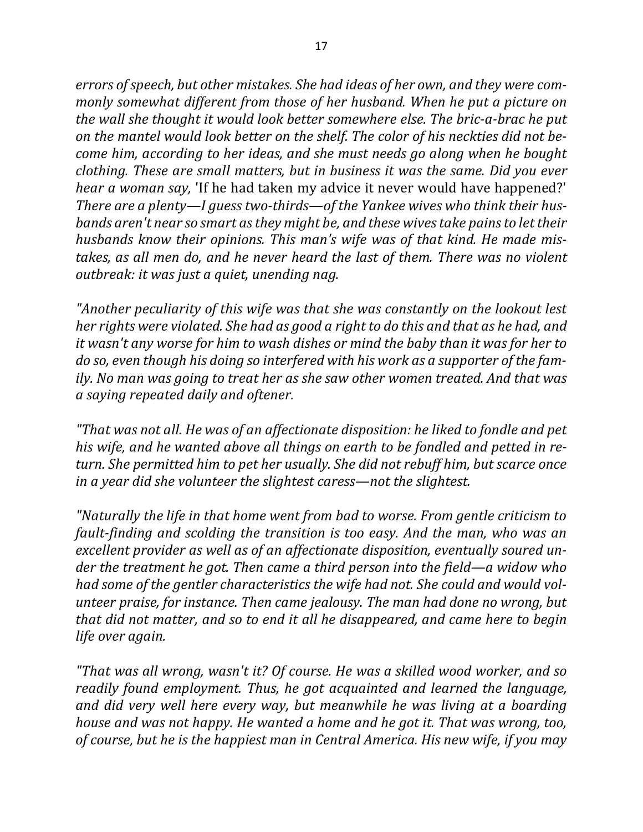errors of speech, but other mistakes. She had *ideas* of her own, and they were com*monly somewhat different from those of her husband. When he put a picture on the* wall she thought it would look better somewhere else. The bric-a-brac he put on the mantel would look better on the shelf. The color of his neckties did not be*come him, according to her ideas, and she must needs go along when he bought clothing.* These are small matters, but in business it was the same. Did you ever *hear a woman say,* 'If he had taken my advice it never would have happened?' There are a plenty—I guess two-thirds—of the Yankee wives who think their hus*bands aren't near so smart as they might be, and these wives take pains to let their husbands know their opinions. This man's wife was of that kind. He made mis*takes, as all men do, and he never heard the last of them. There was no violent *outbreak: it was just a quiet, unending nag.* 

"Another peculiarity of this wife was that she was constantly on the lookout lest *her rights were violated. She had as good a right to do this and that as he had, and it* wasn't any worse for him to wash dishes or mind the baby than it was for her to *do* so, even though his doing so interfered with his work as a supporter of the fam*ily.* No man was going to treat her as she saw other women treated. And that was *a saying repeated daily and oftener.*

*"That* was not all. He was of an affectionate disposition: he liked to fondle and pet his wife, and he wanted above all things on earth to be fondled and petted in re*turn.* She permitted him to pet her usually. She did not rebuff him, but scarce once *in a year did she volunteer the slightest caress—not the slightest.* 

*"Naturally the life in that home went from bad to worse. From gentle criticism to fault-finding and scolding the transition is too easy. And the man, who was an* excellent provider as well as of an affectionate disposition, eventually soured un*der the treatment he got. Then came a third person into the field—a widow who* had some of the gentler characteristics the wife had not. She could and would vol*unteer praise, for instance. Then came jealousy. The man had done no wrong, but that did not matter, and so to end it all he disappeared, and came here to begin life over again.*

*"That was all wrong, wasn't it? Of course. He was a skilled wood worker, and so readily found employment. Thus, he got acquainted and learned the language, and did very well here every way, but meanwhile he was living at a boarding house and was not happy. He wanted a home and he got it. That was wrong, too,* of course, but he is the happiest man in Central America. His new wife, if you may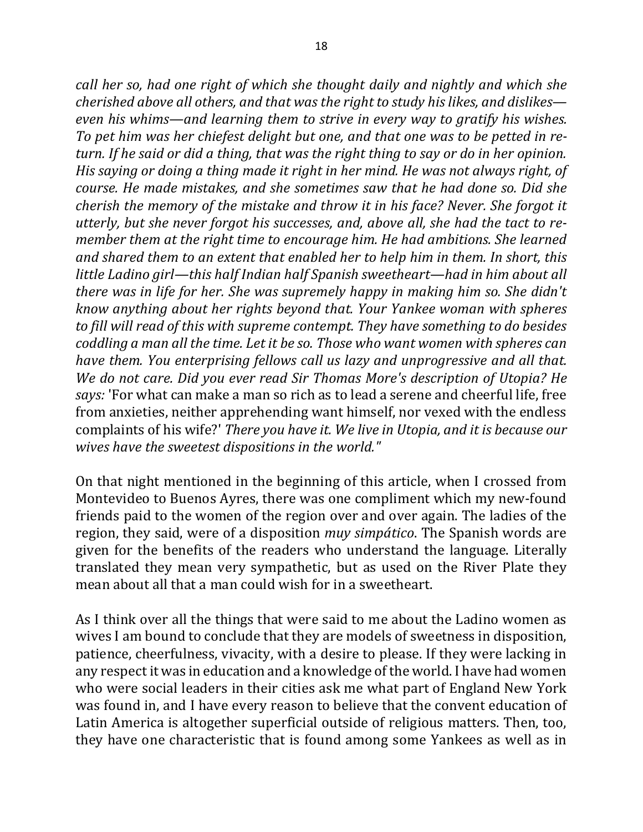*call her so, had one right of which she thought daily and nightly and which she cherished above all others, and that was the right to study his likes, and dislikes even his whims—and learning them to strive in every way to gratify his wishes.* To pet him was her chiefest delight but one, and that one was to be petted in re*turn.* If he said or did a thing, that was the right thing to say or do in her opinion. *His saying or doing a thing made it right in her mind. He was not always right, of course. He made mistakes, and she sometimes saw that he had done so. Did she cherish the memory of the mistake and throw it in his face? Never. She forgot it utterly, but she never forgot his successes, and, above all, she had the tact to remember them at the right time to encourage him. He had ambitions. She learned and shared them to an extent that enabled her to help him in them. In short, this little Ladino girl—this half Indian half Spanish sweetheart—had in him about all there* was in life for her. She was supremely happy in making him so. She didn't *know anything about her rights beyond that. Your Yankee woman with spheres* to fill will read of this with supreme contempt. They have something to do besides *coddling a man all the time. Let it be so. Those who want women with spheres can have them. You enterprising fellows call us lazy and unprogressive and all that.* We do not care. Did you ever read Sir Thomas More's description of Utopia? He *says:* 'For what can make a man so rich as to lead a serene and cheerful life, free from anxieties, neither apprehending want himself, nor vexed with the endless complaints of his wife?' *There you have it. We live in Utopia, and it is because our wives have the sweetest dispositions in the world."* 

On that night mentioned in the beginning of this article, when I crossed from Montevideo to Buenos Ayres, there was one compliment which my new-found friends paid to the women of the region over and over again. The ladies of the region, they said, were of a disposition *muy simpático*. The Spanish words are given for the benefits of the readers who understand the language. Literally translated they mean very sympathetic, but as used on the River Plate they mean about all that a man could wish for in a sweetheart.

As I think over all the things that were said to me about the Ladino women as wives I am bound to conclude that they are models of sweetness in disposition, patience, cheerfulness, vivacity, with a desire to please. If they were lacking in any respect it was in education and a knowledge of the world. I have had women who were social leaders in their cities ask me what part of England New York was found in, and I have every reason to believe that the convent education of Latin America is altogether superficial outside of religious matters. Then, too, they have one characteristic that is found among some Yankees as well as in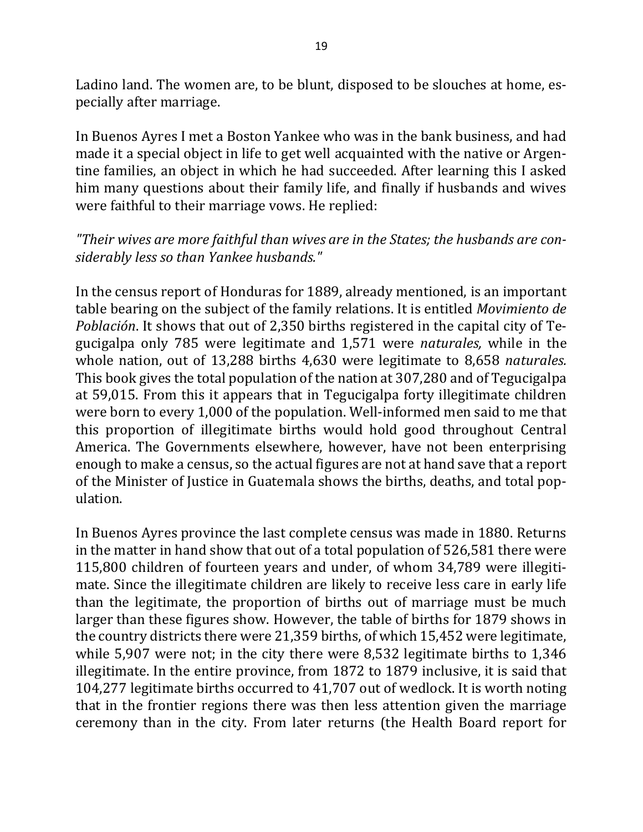Ladino land. The women are, to be blunt, disposed to be slouches at home, especially after marriage.

In Buenos Ayres I met a Boston Yankee who was in the bank business, and had made it a special object in life to get well acquainted with the native or Argentine families, an object in which he had succeeded. After learning this I asked him many questions about their family life, and finally if husbands and wives were faithful to their marriage vows. He replied:

#### "Their wives are more faithful than wives are in the States; the husbands are con*siderably less so than Yankee husbands."*

In the census report of Honduras for 1889, already mentioned, is an important table bearing on the subject of the family relations. It is entitled *Movimiento de Población*. It shows that out of 2,350 births registered in the capital city of Tegucigalpa only 785 were legitimate and 1,571 were *naturales*, while in the whole nation, out of 13,288 births 4,630 were legitimate to 8,658 *naturales*. This book gives the total population of the nation at 307,280 and of Tegucigalpa at 59,015. From this it appears that in Tegucigalpa forty illegitimate children were born to every 1,000 of the population. Well-informed men said to me that this proportion of illegitimate births would hold good throughout Central America. The Governments elsewhere, however, have not been enterprising enough to make a census, so the actual figures are not at hand save that a report of the Minister of Justice in Guatemala shows the births, deaths, and total population. 

In Buenos Ayres province the last complete census was made in 1880. Returns in the matter in hand show that out of a total population of 526,581 there were 115,800 children of fourteen years and under, of whom 34,789 were illegitimate. Since the illegitimate children are likely to receive less care in early life than the legitimate, the proportion of births out of marriage must be much larger than these figures show. However, the table of births for 1879 shows in the country districts there were 21,359 births, of which  $15,452$  were legitimate, while  $5,907$  were not; in the city there were  $8,532$  legitimate births to  $1,346$ illegitimate. In the entire province, from 1872 to 1879 inclusive, it is said that 104,277 legitimate births occurred to 41,707 out of wedlock. It is worth noting that in the frontier regions there was then less attention given the marriage ceremony than in the city. From later returns (the Health Board report for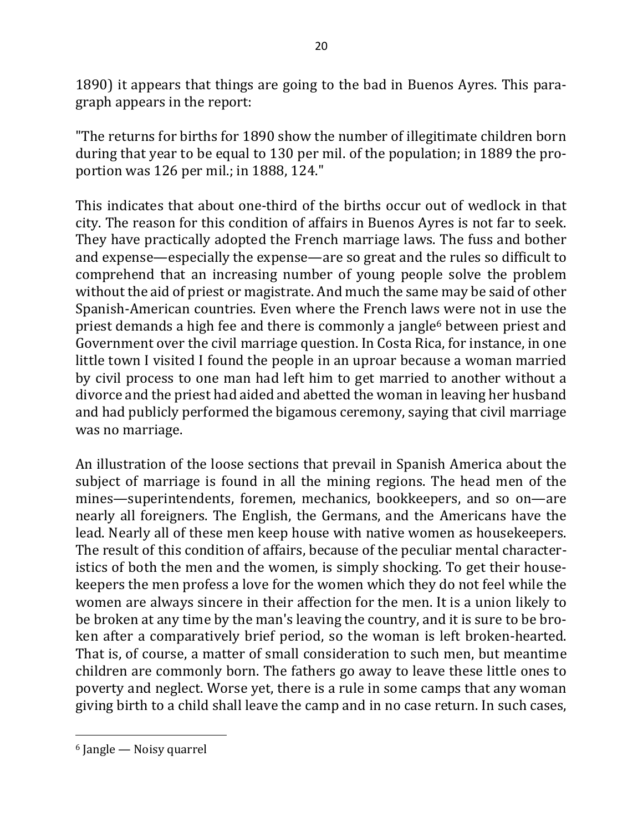1890) it appears that things are going to the bad in Buenos Ayres. This paragraph appears in the report:

"The returns for births for 1890 show the number of illegitimate children born during that year to be equal to 130 per mil. of the population; in 1889 the proportion was  $126$  per mil.; in 1888, 124."

This indicates that about one-third of the births occur out of wedlock in that city. The reason for this condition of affairs in Buenos Ayres is not far to seek. They have practically adopted the French marriage laws. The fuss and bother and expense—especially the expense—are so great and the rules so difficult to comprehend that an increasing number of young people solve the problem without the aid of priest or magistrate. And much the same may be said of other Spanish-American countries. Even where the French laws were not in use the priest demands a high fee and there is commonly a jangle<sup>6</sup> between priest and Government over the civil marriage question. In Costa Rica, for instance, in one little town I visited I found the people in an uproar because a woman married by civil process to one man had left him to get married to another without a divorce and the priest had aided and abetted the woman in leaving her husband and had publicly performed the bigamous ceremony, saying that civil marriage was no marriage.

An illustration of the loose sections that prevail in Spanish America about the subject of marriage is found in all the mining regions. The head men of the mines—superintendents, foremen, mechanics, bookkeepers, and so on—are nearly all foreigners. The English, the Germans, and the Americans have the lead. Nearly all of these men keep house with native women as housekeepers. The result of this condition of affairs, because of the peculiar mental characteristics of both the men and the women, is simply shocking. To get their housekeepers the men profess a love for the women which they do not feel while the women are always sincere in their affection for the men. It is a union likely to be broken at any time by the man's leaving the country, and it is sure to be broken after a comparatively brief period, so the woman is left broken-hearted. That is, of course, a matter of small consideration to such men, but meantime children are commonly born. The fathers go away to leave these little ones to poverty and neglect. Worse yet, there is a rule in some camps that any woman giving birth to a child shall leave the camp and in no case return. In such cases,

 $6$  Jangle — Noisy quarrel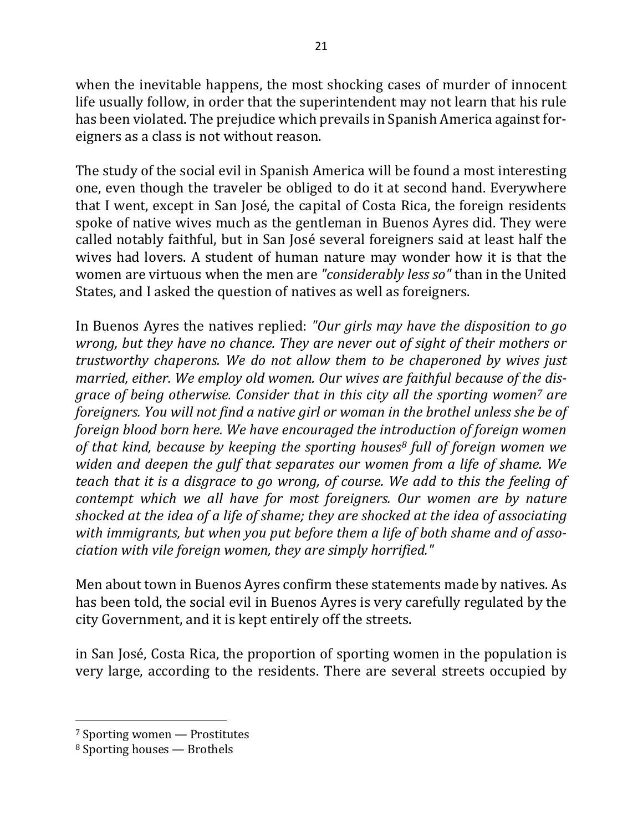when the inevitable happens, the most shocking cases of murder of innocent life usually follow, in order that the superintendent may not learn that his rule has been violated. The prejudice which prevails in Spanish America against foreigners as a class is not without reason.

The study of the social evil in Spanish America will be found a most interesting one, even though the traveler be obliged to do it at second hand. Everywhere that I went, except in San José, the capital of Costa Rica, the foreign residents spoke of native wives much as the gentleman in Buenos Ayres did. They were called notably faithful, but in San José several foreigners said at least half the wives had lovers. A student of human nature may wonder how it is that the women are virtuous when the men are *"considerably less so"* than in the United States, and I asked the question of natives as well as foreigners.

In Buenos Ayres the natives replied: *"Our girls may have the disposition to go wrong, but they have no chance. They are never out of sight of their mothers or trustworthy chaperons.* We do not allow them to be chaperoned by wives just married, either. We employ old women. Our wives are faithful because of the dis*grace of being otherwise. Consider that in this city all the sporting women<sup>7</sup> are foreigners. You will not find a native girl or woman in the brothel unless she be of foreign blood born here. We have encouraged the introduction of foreign women* of that kind, because by keeping the sporting houses<sup>8</sup> full of foreign women we *widen and deepen the gulf that separates our women from a life of shame.* We *teach that it is a disgrace to go wrong, of course. We add to this the feeling of contempt* which we all have for most foreigners. Our women are by nature shocked at the idea of a life of shame; they are shocked at the idea of associating with immigrants, but when you put before them a life of both shame and of asso*ciation with vile foreign women, they are simply horrified."* 

Men about town in Buenos Ayres confirm these statements made by natives. As has been told, the social evil in Buenos Ayres is very carefully regulated by the city Government, and it is kept entirely off the streets.

in San José, Costa Rica, the proportion of sporting women in the population is very large, according to the residents. There are several streets occupied by

 $7$  Sporting women  $-$  Prostitutes

 $8$  Sporting houses  $-$  Brothels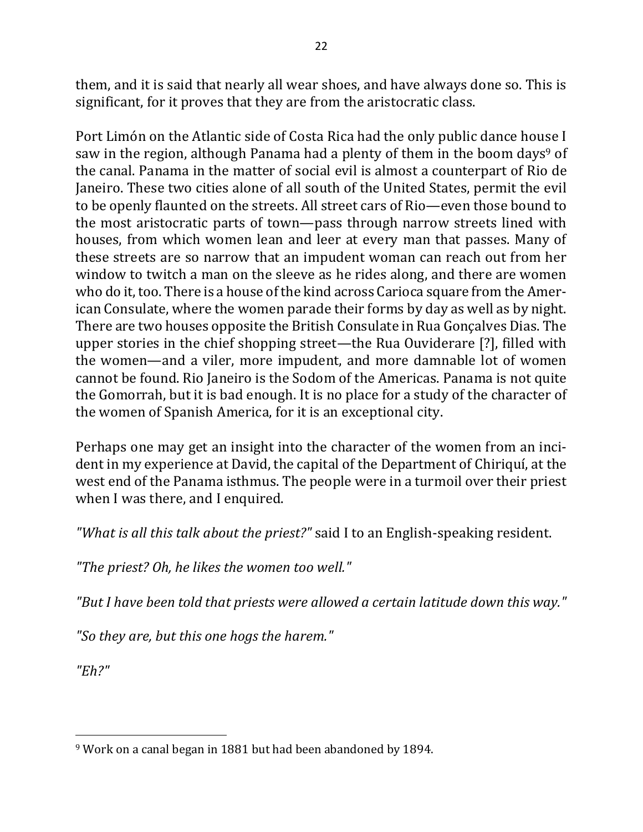them, and it is said that nearly all wear shoes, and have always done so. This is significant, for it proves that they are from the aristocratic class.

Port Limón on the Atlantic side of Costa Rica had the only public dance house I saw in the region, although Panama had a plenty of them in the boom days<sup>9</sup> of the canal. Panama in the matter of social evil is almost a counterpart of Rio de Janeiro. These two cities alone of all south of the United States, permit the evil to be openly flaunted on the streets. All street cars of Rio—even those bound to the most aristocratic parts of town—pass through narrow streets lined with houses, from which women lean and leer at every man that passes. Many of these streets are so narrow that an impudent woman can reach out from her window to twitch a man on the sleeve as he rides along, and there are women who do it, too. There is a house of the kind across Carioca square from the American Consulate, where the women parade their forms by day as well as by night. There are two houses opposite the British Consulate in Rua Gonçalves Dias. The upper stories in the chief shopping street—the Rua Ouviderare [?], filled with the women—and a viler, more impudent, and more damnable lot of women cannot be found. Rio Janeiro is the Sodom of the Americas. Panama is not quite the Gomorrah, but it is bad enough. It is no place for a study of the character of the women of Spanish America, for it is an exceptional city.

Perhaps one may get an insight into the character of the women from an incident in my experience at David, the capital of the Department of Chiriquí, at the west end of the Panama isthmus. The people were in a turmoil over their priest when I was there, and I enquired.

*"What is all this talk about the priest?"* said I to an English-speaking resident.

*"The priest? Oh, he likes the women too well."*

"But I have been told that priests were allowed a certain latitude down this way."

*"So they are, but this one hogs the harem."*

*"Eh?"*

 $\overline{a}$ <sup>9</sup> Work on a canal began in 1881 but had been abandoned by 1894.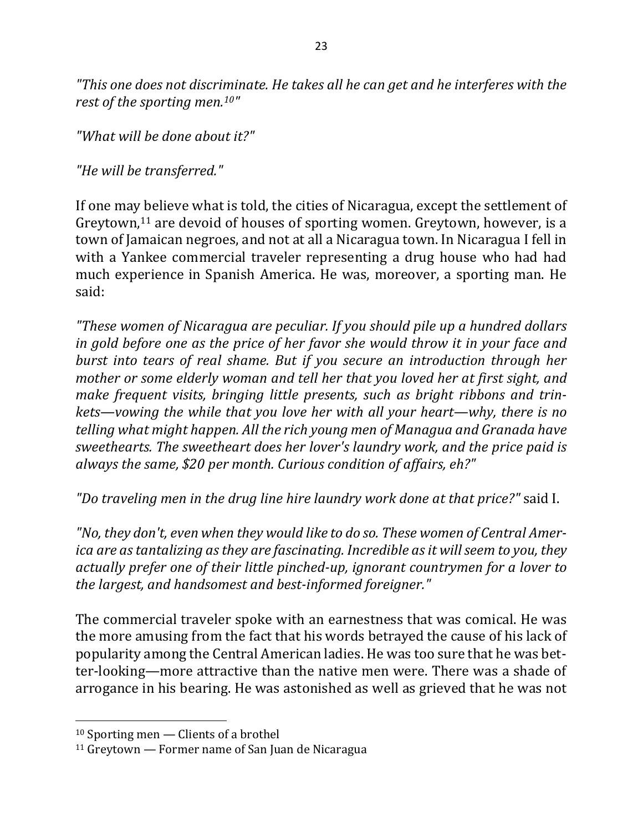"This one does not discriminate. He takes all he can get and he interferes with the *rest of the sporting men.*<sup>10"</sup>

"What will be done about it?"

*"He will be transferred."*

If one may believe what is told, the cities of Nicaragua, except the settlement of Greytown,<sup>11</sup> are devoid of houses of sporting women. Greytown, however, is a town of Jamaican negroes, and not at all a Nicaragua town. In Nicaragua I fell in with a Yankee commercial traveler representing a drug house who had had much experience in Spanish America. He was, moreover, a sporting man. He said:

*"These women of Nicaragua are peculiar. If you should pile up a hundred dollars in gold before one as the price of her favor she would throw it in your face and burst into tears of real shame. But if you secure an introduction through her mother or some elderly woman and tell her that you loved her at first sight, and make frequent visits, bringing little presents, such as bright ribbons and trinkets—vowing the while that you love her with all your heart—why, there is no telling* what might happen. All the rich young men of Managua and Granada have *sweethearts.* The sweetheart does her lover's laundry work, and the price paid is *always the same,* \$20 per month. Curious condition of affairs, eh?"

"Do traveling men in the drug line hire laundry work done at that price?" said I.

"No, they don't, even when they would like to do so. These women of Central Amer*ica are as tantalizing as they are fascinating. Incredible as it will seem to you, they actually prefer one of their little pinched-up, ignorant countrymen for a lover to the largest, and handsomest and best-informed foreigner."* 

The commercial traveler spoke with an earnestness that was comical. He was the more amusing from the fact that his words betrayed the cause of his lack of popularity among the Central American ladies. He was too sure that he was better-looking—more attractive than the native men were. There was a shade of arrogance in his bearing. He was astonished as well as grieved that he was not

 $10$  Sporting men  $-$  Clients of a brothel

 $11$  Greytown — Former name of San Juan de Nicaragua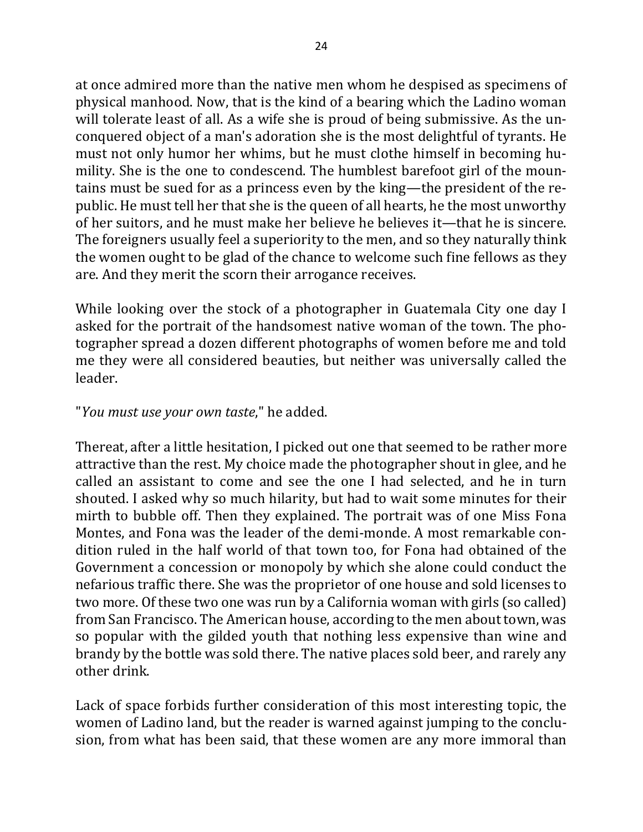at once admired more than the native men whom he despised as specimens of physical manhood. Now, that is the kind of a bearing which the Ladino woman will tolerate least of all. As a wife she is proud of being submissive. As the unconquered object of a man's adoration she is the most delightful of tyrants. He must not only humor her whims, but he must clothe himself in becoming humility. She is the one to condescend. The humblest barefoot girl of the mountains must be sued for as a princess even by the king—the president of the republic. He must tell her that she is the queen of all hearts, he the most unworthy of her suitors, and he must make her believe he believes it—that he is sincere. The foreigners usually feel a superiority to the men, and so they naturally think the women ought to be glad of the chance to welcome such fine fellows as they are. And they merit the scorn their arrogance receives.

While looking over the stock of a photographer in Guatemala City one day I asked for the portrait of the handsomest native woman of the town. The photographer spread a dozen different photographs of women before me and told me they were all considered beauties, but neither was universally called the leader. 

### "*You must use your own taste*," he added.

Thereat, after a little hesitation, I picked out one that seemed to be rather more attractive than the rest. My choice made the photographer shout in glee, and he called an assistant to come and see the one I had selected, and he in turn shouted. I asked why so much hilarity, but had to wait some minutes for their mirth to bubble off. Then they explained. The portrait was of one Miss Fona Montes, and Fona was the leader of the demi-monde. A most remarkable condition ruled in the half world of that town too, for Fona had obtained of the Government a concession or monopoly by which she alone could conduct the nefarious traffic there. She was the proprietor of one house and sold licenses to two more. Of these two one was run by a California woman with girls (so called) from San Francisco. The American house, according to the men about town, was so popular with the gilded youth that nothing less expensive than wine and brandy by the bottle was sold there. The native places sold beer, and rarely any other drink.

Lack of space forbids further consideration of this most interesting topic, the women of Ladino land, but the reader is warned against jumping to the conclusion, from what has been said, that these women are any more immoral than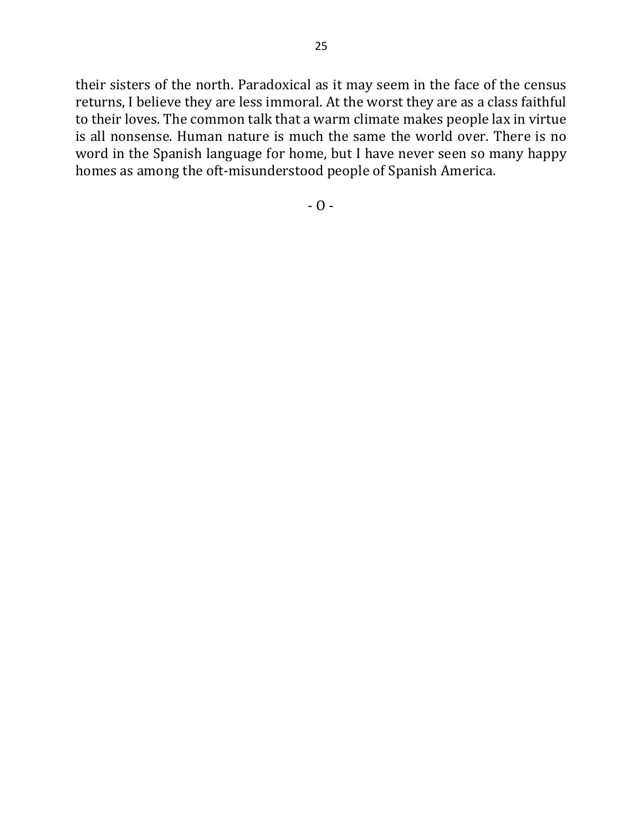their sisters of the north. Paradoxical as it may seem in the face of the census returns, I believe they are less immoral. At the worst they are as a class faithful to their loves. The common talk that a warm climate makes people lax in virtue is all nonsense. Human nature is much the same the world over. There is no word in the Spanish language for home, but I have never seen so many happy homes as among the oft-misunderstood people of Spanish America.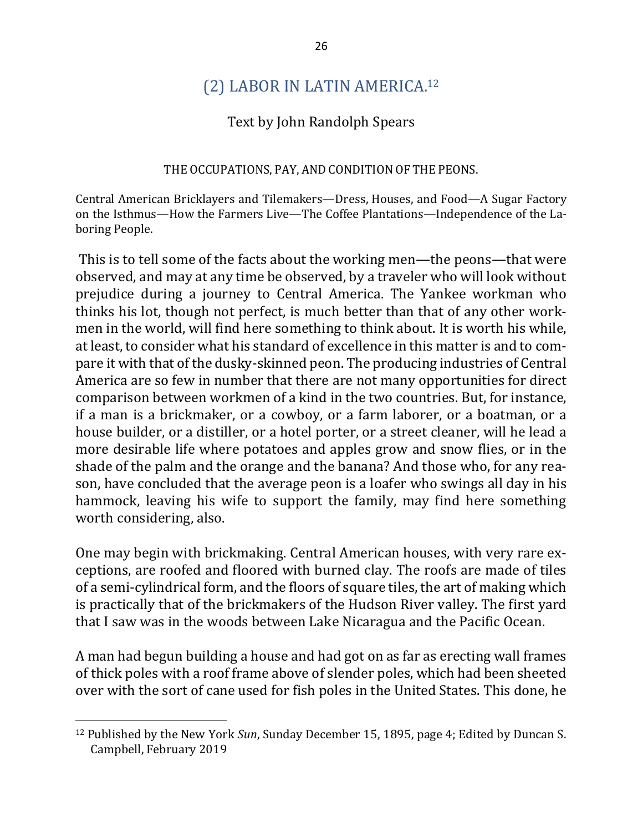## (2) LABOR IN LATIN AMERICA.<sup>12</sup>

#### Text by John Randolph Spears

#### THE OCCUPATIONS, PAY, AND CONDITION OF THE PEONS.

Central American Bricklayers and Tilemakers—Dress, Houses, and Food—A Sugar Factory on the Isthmus—How the Farmers Live—The Coffee Plantations—Independence of the Laboring People.

This is to tell some of the facts about the working men—the peons—that were observed, and may at any time be observed, by a traveler who will look without prejudice during a journey to Central America. The Yankee workman who thinks his lot, though not perfect, is much better than that of any other workmen in the world, will find here something to think about. It is worth his while, at least, to consider what his standard of excellence in this matter is and to compare it with that of the dusky-skinned peon. The producing industries of Central America are so few in number that there are not many opportunities for direct comparison between workmen of a kind in the two countries. But, for instance, if a man is a brickmaker, or a cowboy, or a farm laborer, or a boatman, or a house builder, or a distiller, or a hotel porter, or a street cleaner, will he lead a more desirable life where potatoes and apples grow and snow flies, or in the shade of the palm and the orange and the banana? And those who, for any reason, have concluded that the average peon is a loafer who swings all day in his hammock, leaving his wife to support the family, may find here something worth considering, also.

One may begin with brickmaking. Central American houses, with very rare exceptions, are roofed and floored with burned clay. The roofs are made of tiles of a semi-cylindrical form, and the floors of square tiles, the art of making which is practically that of the brickmakers of the Hudson River valley. The first yard that I saw was in the woods between Lake Nicaragua and the Pacific Ocean.

A man had begun building a house and had got on as far as erecting wall frames of thick poles with a roof frame above of slender poles, which had been sheeted over with the sort of cane used for fish poles in the United States. This done, he

<sup>&</sup>lt;sup>12</sup> Published by the New York *Sun*, Sunday December 15, 1895, page 4; Edited by Duncan S. Campbell, February 2019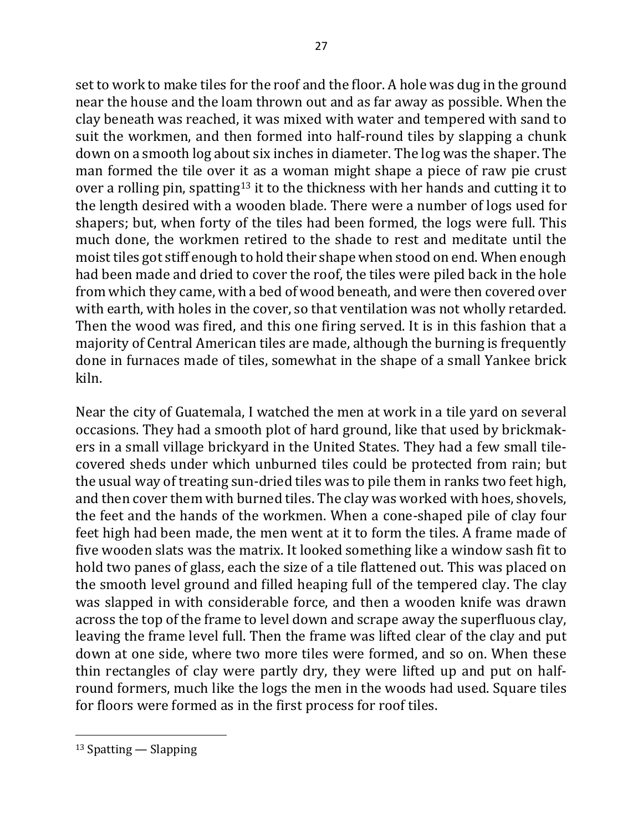set to work to make tiles for the roof and the floor. A hole was dug in the ground near the house and the loam thrown out and as far away as possible. When the clay beneath was reached, it was mixed with water and tempered with sand to suit the workmen, and then formed into half-round tiles by slapping a chunk down on a smooth log about six inches in diameter. The log was the shaper. The man formed the tile over it as a woman might shape a piece of raw pie crust over a rolling pin, spatting<sup>13</sup> it to the thickness with her hands and cutting it to the length desired with a wooden blade. There were a number of logs used for shapers; but, when forty of the tiles had been formed, the logs were full. This much done, the workmen retired to the shade to rest and meditate until the moist tiles got stiff enough to hold their shape when stood on end. When enough had been made and dried to cover the roof, the tiles were piled back in the hole from which they came, with a bed of wood beneath, and were then covered over with earth, with holes in the cover, so that ventilation was not wholly retarded. Then the wood was fired, and this one firing served. It is in this fashion that a majority of Central American tiles are made, although the burning is frequently done in furnaces made of tiles, somewhat in the shape of a small Yankee brick kiln.

Near the city of Guatemala, I watched the men at work in a tile yard on several occasions. They had a smooth plot of hard ground, like that used by brickmakers in a small village brickyard in the United States. They had a few small tilecovered sheds under which unburned tiles could be protected from rain; but the usual way of treating sun-dried tiles was to pile them in ranks two feet high, and then cover them with burned tiles. The clay was worked with hoes, shovels, the feet and the hands of the workmen. When a cone-shaped pile of clay four feet high had been made, the men went at it to form the tiles. A frame made of five wooden slats was the matrix. It looked something like a window sash fit to hold two panes of glass, each the size of a tile flattened out. This was placed on the smooth level ground and filled heaping full of the tempered clay. The clay was slapped in with considerable force, and then a wooden knife was drawn across the top of the frame to level down and scrape away the superfluous clay, leaving the frame level full. Then the frame was lifted clear of the clay and put down at one side, where two more tiles were formed, and so on. When these thin rectangles of clay were partly dry, they were lifted up and put on halfround formers, much like the logs the men in the woods had used. Square tiles for floors were formed as in the first process for roof tiles.

 $13$  Spatting — Slapping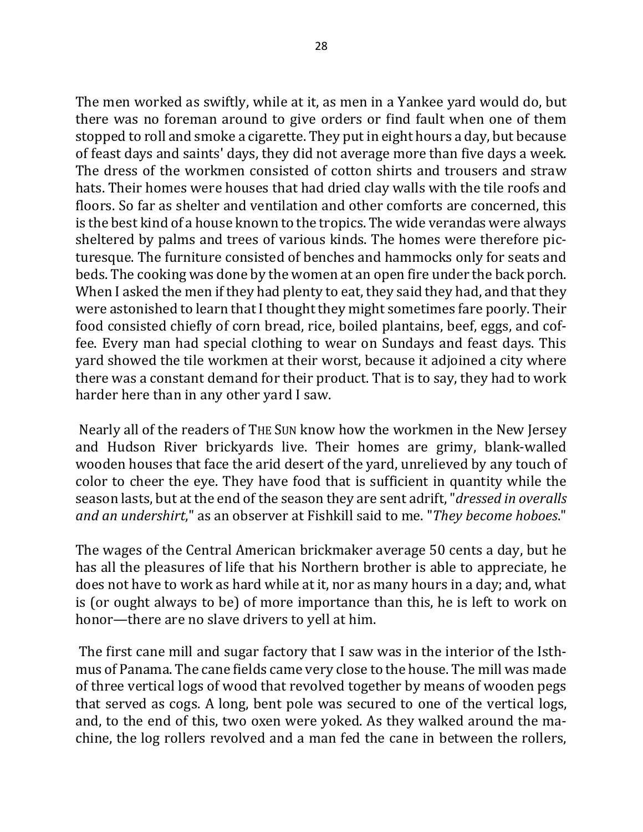The men worked as swiftly, while at it, as men in a Yankee yard would do, but there was no foreman around to give orders or find fault when one of them stopped to roll and smoke a cigarette. They put in eight hours a day, but because of feast days and saints' days, they did not average more than five days a week. The dress of the workmen consisted of cotton shirts and trousers and straw hats. Their homes were houses that had dried clay walls with the tile roofs and floors. So far as shelter and ventilation and other comforts are concerned, this is the best kind of a house known to the tropics. The wide verandas were always sheltered by palms and trees of various kinds. The homes were therefore picturesque. The furniture consisted of benches and hammocks only for seats and beds. The cooking was done by the women at an open fire under the back porch. When I asked the men if they had plenty to eat, they said they had, and that they were astonished to learn that I thought they might sometimes fare poorly. Their food consisted chiefly of corn bread, rice, boiled plantains, beef, eggs, and coffee. Every man had special clothing to wear on Sundays and feast days. This yard showed the tile workmen at their worst, because it adjoined a city where there was a constant demand for their product. That is to say, they had to work harder here than in any other yard I saw.

Nearly all of the readers of THE SUN know how the workmen in the New Jersey and Hudson River brickyards live. Their homes are grimy, blank-walled wooden houses that face the arid desert of the yard, unrelieved by any touch of color to cheer the eye. They have food that is sufficient in quantity while the season lasts, but at the end of the season they are sent adrift, "*dressed in overalls and an undershirt*," as an observer at Fishkill said to me. "*They become hoboes*."

The wages of the Central American brickmaker average 50 cents a day, but he has all the pleasures of life that his Northern brother is able to appreciate, he does not have to work as hard while at it, nor as many hours in a day; and, what is (or ought always to be) of more importance than this, he is left to work on honor—there are no slave drivers to yell at him.

The first cane mill and sugar factory that I saw was in the interior of the Isthmus of Panama. The cane fields came very close to the house. The mill was made of three vertical logs of wood that revolved together by means of wooden pegs that served as cogs. A long, bent pole was secured to one of the vertical logs, and, to the end of this, two oxen were yoked. As they walked around the machine, the log rollers revolved and a man fed the cane in between the rollers,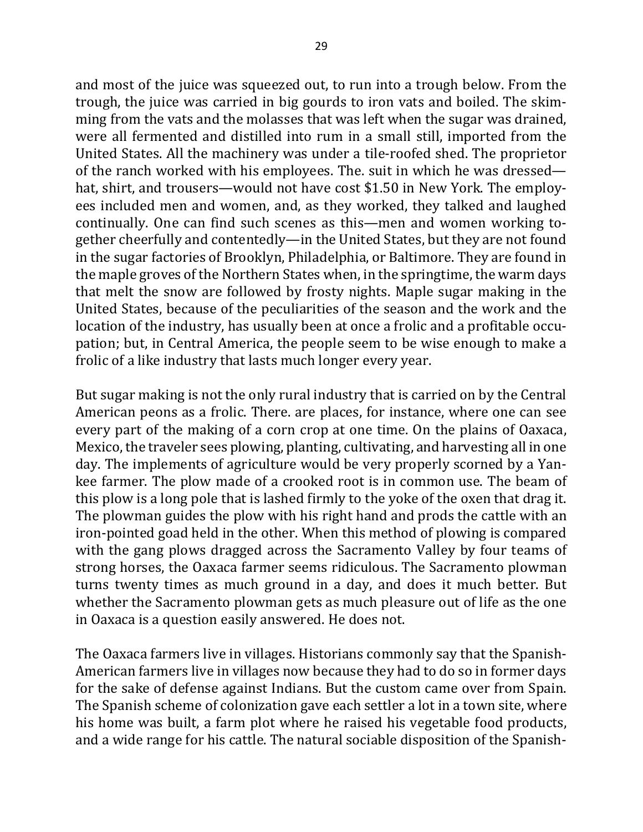and most of the juice was squeezed out, to run into a trough below. From the trough, the juice was carried in big gourds to iron vats and boiled. The skimming from the vats and the molasses that was left when the sugar was drained, were all fermented and distilled into rum in a small still, imported from the United States. All the machinery was under a tile-roofed shed. The proprietor of the ranch worked with his employees. The suit in which he was dressed hat, shirt, and trousers—would not have cost \$1.50 in New York. The employees included men and women, and, as they worked, they talked and laughed continually. One can find such scenes as this—men and women working together cheerfully and contentedly—in the United States, but they are not found in the sugar factories of Brooklyn, Philadelphia, or Baltimore. They are found in the maple groves of the Northern States when, in the springtime, the warm days that melt the snow are followed by frosty nights. Maple sugar making in the United States, because of the peculiarities of the season and the work and the location of the industry, has usually been at once a frolic and a profitable occupation; but, in Central America, the people seem to be wise enough to make a frolic of a like industry that lasts much longer every year.

But sugar making is not the only rural industry that is carried on by the Central American peons as a frolic. There. are places, for instance, where one can see every part of the making of a corn crop at one time. On the plains of Oaxaca, Mexico, the traveler sees plowing, planting, cultivating, and harvesting all in one day. The implements of agriculture would be very properly scorned by a Yankee farmer. The plow made of a crooked root is in common use. The beam of this plow is a long pole that is lashed firmly to the yoke of the oxen that drag it. The plowman guides the plow with his right hand and prods the cattle with an iron-pointed goad held in the other. When this method of plowing is compared with the gang plows dragged across the Sacramento Valley by four teams of strong horses, the Oaxaca farmer seems ridiculous. The Sacramento plowman turns twenty times as much ground in a day, and does it much better. But whether the Sacramento plowman gets as much pleasure out of life as the one in Oaxaca is a question easily answered. He does not.

The Oaxaca farmers live in villages. Historians commonly say that the Spanish-American farmers live in villages now because they had to do so in former days for the sake of defense against Indians. But the custom came over from Spain. The Spanish scheme of colonization gave each settler a lot in a town site, where his home was built, a farm plot where he raised his vegetable food products, and a wide range for his cattle. The natural sociable disposition of the Spanish-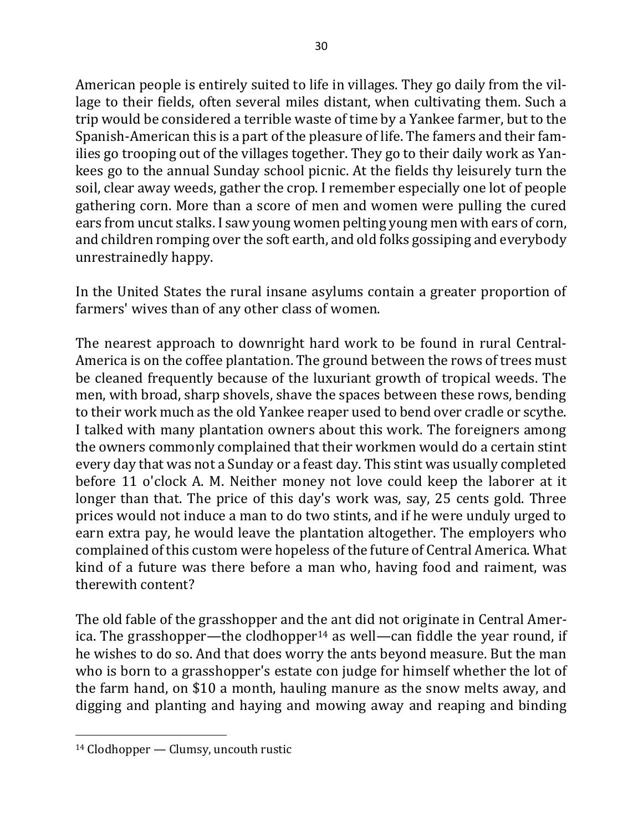American people is entirely suited to life in villages. They go daily from the village to their fields, often several miles distant, when cultivating them. Such a trip would be considered a terrible waste of time by a Yankee farmer, but to the Spanish-American this is a part of the pleasure of life. The famers and their families go trooping out of the villages together. They go to their daily work as Yankees go to the annual Sunday school picnic. At the fields thy leisurely turn the soil, clear away weeds, gather the crop. I remember especially one lot of people gathering corn. More than a score of men and women were pulling the cured ears from uncut stalks. I saw young women pelting young men with ears of corn, and children romping over the soft earth, and old folks gossiping and everybody unrestrainedly happy.

In the United States the rural insane asylums contain a greater proportion of farmers' wives than of any other class of women.

The nearest approach to downright hard work to be found in rural Central-America is on the coffee plantation. The ground between the rows of trees must be cleaned frequently because of the luxuriant growth of tropical weeds. The men, with broad, sharp shovels, shave the spaces between these rows, bending to their work much as the old Yankee reaper used to bend over cradle or scythe. I talked with many plantation owners about this work. The foreigners among the owners commonly complained that their workmen would do a certain stint every day that was not a Sunday or a feast day. This stint was usually completed before 11 o'clock A. M. Neither money not love could keep the laborer at it longer than that. The price of this day's work was, say, 25 cents gold. Three prices would not induce a man to do two stints, and if he were unduly urged to earn extra pay, he would leave the plantation altogether. The employers who complained of this custom were hopeless of the future of Central America. What kind of a future was there before a man who, having food and raiment, was therewith content?

The old fable of the grasshopper and the ant did not originate in Central America. The grasshopper—the clodhopper<sup>14</sup> as well—can fiddle the year round, if he wishes to do so. And that does worry the ants beyond measure. But the man who is born to a grasshopper's estate con judge for himself whether the lot of the farm hand, on \$10 a month, hauling manure as the snow melts away, and digging and planting and haying and mowing away and reaping and binding

 $14$  Clodhopper — Clumsy, uncouth rustic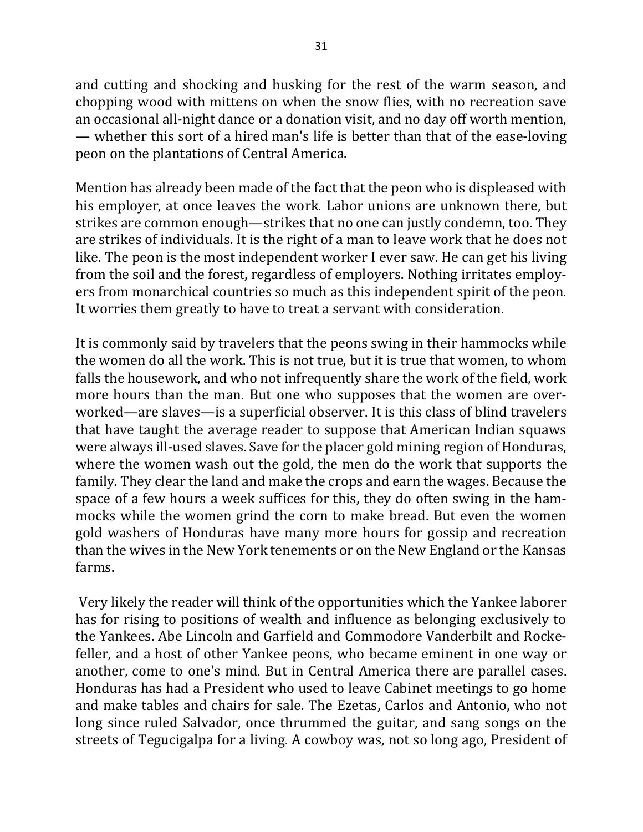and cutting and shocking and husking for the rest of the warm season, and chopping wood with mittens on when the snow flies, with no recreation save an occasional all-night dance or a donation visit, and no day off worth mention, — whether this sort of a hired man's life is better than that of the ease-loving peon on the plantations of Central America.

Mention has already been made of the fact that the peon who is displeased with his employer, at once leaves the work. Labor unions are unknown there, but strikes are common enough—strikes that no one can justly condemn, too. They are strikes of individuals. It is the right of a man to leave work that he does not like. The peon is the most independent worker I ever saw. He can get his living from the soil and the forest, regardless of employers. Nothing irritates employers from monarchical countries so much as this independent spirit of the peon. It worries them greatly to have to treat a servant with consideration.

It is commonly said by travelers that the peons swing in their hammocks while the women do all the work. This is not true, but it is true that women, to whom falls the housework, and who not infrequently share the work of the field, work more hours than the man. But one who supposes that the women are overworked—are slaves—is a superficial observer. It is this class of blind travelers that have taught the average reader to suppose that American Indian squaws were always ill-used slaves. Save for the placer gold mining region of Honduras, where the women wash out the gold, the men do the work that supports the family. They clear the land and make the crops and earn the wages. Because the space of a few hours a week suffices for this, they do often swing in the hammocks while the women grind the corn to make bread. But even the women gold washers of Honduras have many more hours for gossip and recreation than the wives in the New York tenements or on the New England or the Kansas farms.

Very likely the reader will think of the opportunities which the Yankee laborer has for rising to positions of wealth and influence as belonging exclusively to the Yankees. Abe Lincoln and Garfield and Commodore Vanderbilt and Rockefeller, and a host of other Yankee peons, who became eminent in one way or another, come to one's mind. But in Central America there are parallel cases. Honduras has had a President who used to leave Cabinet meetings to go home and make tables and chairs for sale. The Ezetas, Carlos and Antonio, who not long since ruled Salvador, once thrummed the guitar, and sang songs on the streets of Tegucigalpa for a living. A cowboy was, not so long ago, President of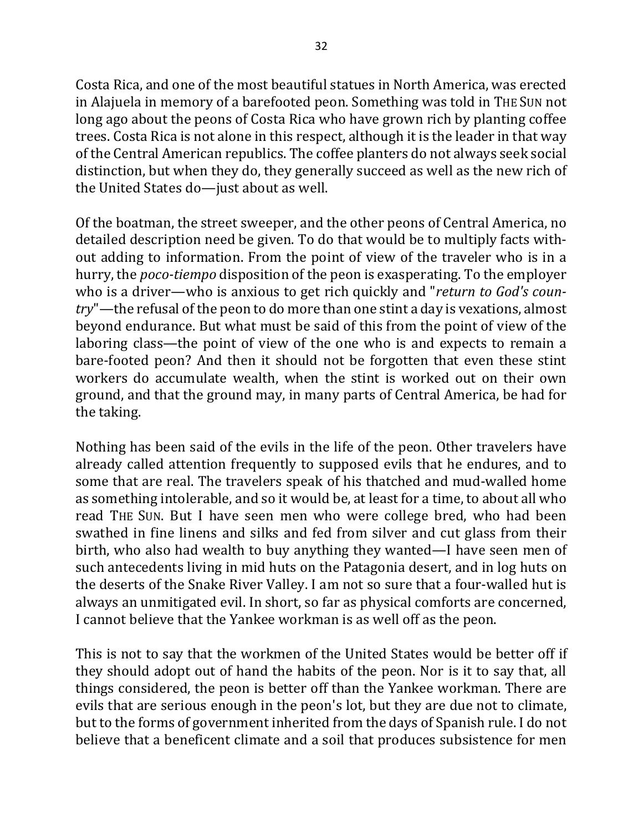Costa Rica, and one of the most beautiful statues in North America, was erected in Alajuela in memory of a barefooted peon. Something was told in THE SUN not long ago about the peons of Costa Rica who have grown rich by planting coffee trees. Costa Rica is not alone in this respect, although it is the leader in that way of the Central American republics. The coffee planters do not always seek social distinction, but when they do, they generally succeed as well as the new rich of the United States do-just about as well.

Of the boatman, the street sweeper, and the other peons of Central America, no detailed description need be given. To do that would be to multiply facts without adding to information. From the point of view of the traveler who is in a hurry, the *poco-tiempo* disposition of the peon is exasperating. To the employer who is a driver—who is anxious to get rich quickly and "*return to God's country*"—the refusal of the peon to do more than one stint a day is vexations, almost beyond endurance. But what must be said of this from the point of view of the laboring class—the point of view of the one who is and expects to remain a bare-footed peon? And then it should not be forgotten that even these stint workers do accumulate wealth, when the stint is worked out on their own ground, and that the ground may, in many parts of Central America, be had for the taking.

Nothing has been said of the evils in the life of the peon. Other travelers have already called attention frequently to supposed evils that he endures, and to some that are real. The travelers speak of his thatched and mud-walled home as something intolerable, and so it would be, at least for a time, to about all who read THE SUN. But I have seen men who were college bred, who had been swathed in fine linens and silks and fed from silver and cut glass from their birth, who also had wealth to buy anything they wanted—I have seen men of such antecedents living in mid huts on the Patagonia desert, and in log huts on the deserts of the Snake River Valley. I am not so sure that a four-walled hut is always an unmitigated evil. In short, so far as physical comforts are concerned, I cannot believe that the Yankee workman is as well off as the peon.

This is not to say that the workmen of the United States would be better off if they should adopt out of hand the habits of the peon. Nor is it to say that, all things considered, the peon is better off than the Yankee workman. There are evils that are serious enough in the peon's lot, but they are due not to climate, but to the forms of government inherited from the days of Spanish rule. I do not believe that a beneficent climate and a soil that produces subsistence for men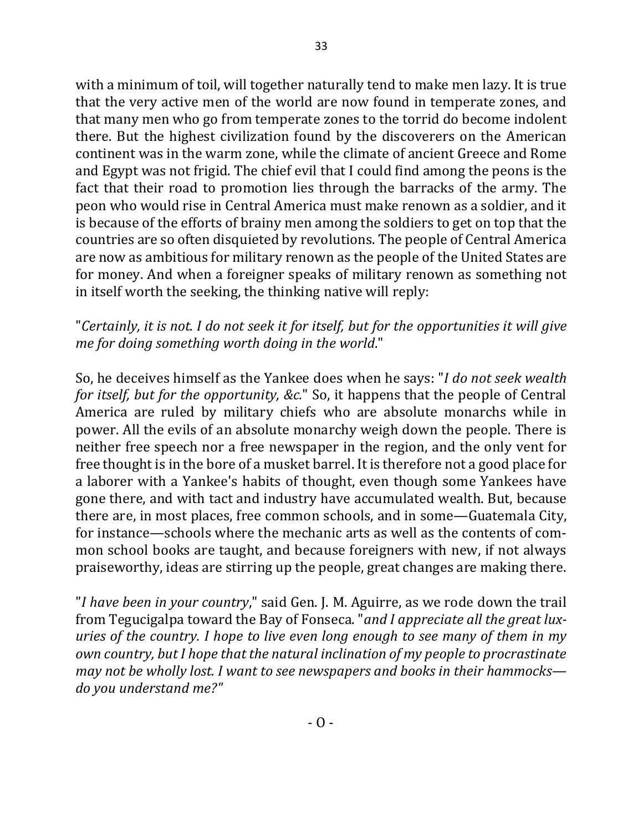with a minimum of toil, will together naturally tend to make men lazy. It is true that the very active men of the world are now found in temperate zones, and that many men who go from temperate zones to the torrid do become indolent there. But the highest civilization found by the discoverers on the American continent was in the warm zone, while the climate of ancient Greece and Rome and Egypt was not frigid. The chief evil that I could find among the peons is the fact that their road to promotion lies through the barracks of the army. The peon who would rise in Central America must make renown as a soldier, and it is because of the efforts of brainy men among the soldiers to get on top that the countries are so often disquieted by revolutions. The people of Central America are now as ambitious for military renown as the people of the United States are for money. And when a foreigner speaks of military renown as something not in itself worth the seeking, the thinking native will reply:

#### "Certainly, it is not. I do not seek it for itself, but for the opportunities it will give *me for doing something worth doing in the world."*

So, he deceives himself as the Yankee does when he says: "*I do not seek wealth for itself, but for the opportunity, &c.*" So, it happens that the people of Central America are ruled by military chiefs who are absolute monarchs while in power. All the evils of an absolute monarchy weigh down the people. There is neither free speech nor a free newspaper in the region, and the only vent for free thought is in the bore of a musket barrel. It is therefore not a good place for a laborer with a Yankee's habits of thought, even though some Yankees have gone there, and with tact and industry have accumulated wealth. But, because there are, in most places, free common schools, and in some—Guatemala City, for instance—schools where the mechanic arts as well as the contents of common school books are taught, and because foreigners with new, if not always praiseworthy, ideas are stirring up the people, great changes are making there.

"*I have been in your country*," said Gen. J. M. Aguirre, as we rode down the trail from Tegucigalpa toward the Bay of Fonseca. "*and I appreciate all the great luxuries* of the country. I hope to live even long enough to see many of them in my *own country, but I hope that the natural inclination of my people to procrastinate may not be wholly lost. I want to see newspapers and books in their hammocks do you understand me?"*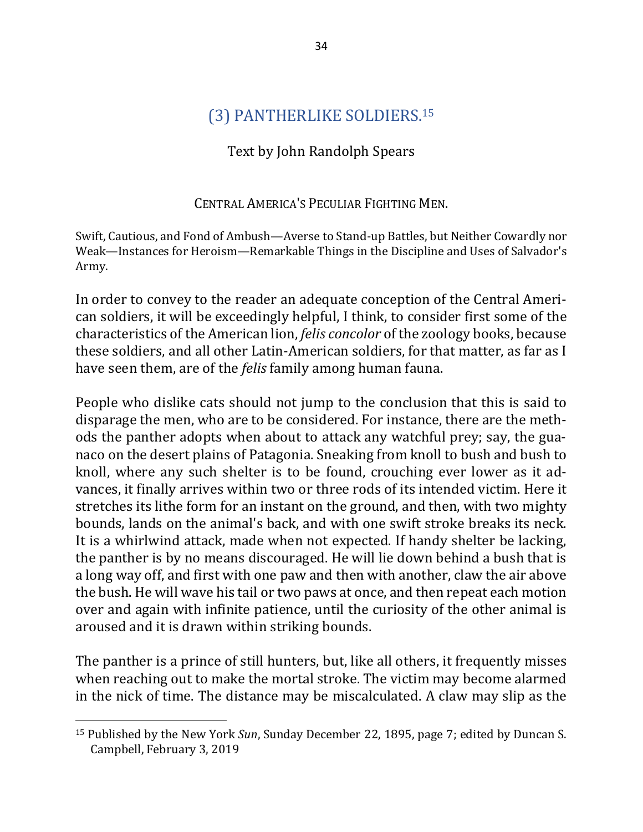## (3) PANTHERLIKE SOLDIERS.<sup>15</sup>

## Text by John Randolph Spears

#### CENTRAL AMERICA'S PECULIAR FIGHTING MEN.

Swift, Cautious, and Fond of Ambush—Averse to Stand-up Battles, but Neither Cowardly nor Weak—Instances for Heroism—Remarkable Things in the Discipline and Uses of Salvador's Army.

In order to convey to the reader an adequate conception of the Central American soldiers, it will be exceedingly helpful, I think, to consider first some of the characteristics of the American lion, *felis concolor* of the zoology books, because these soldiers, and all other Latin-American soldiers, for that matter, as far as I have seen them, are of the *felis* family among human fauna.

People who dislike cats should not jump to the conclusion that this is said to disparage the men, who are to be considered. For instance, there are the methods the panther adopts when about to attack any watchful prey; say, the guanaco on the desert plains of Patagonia. Sneaking from knoll to bush and bush to knoll, where any such shelter is to be found, crouching ever lower as it advances, it finally arrives within two or three rods of its intended victim. Here it stretches its lithe form for an instant on the ground, and then, with two mighty bounds, lands on the animal's back, and with one swift stroke breaks its neck. It is a whirlwind attack, made when not expected. If handy shelter be lacking, the panther is by no means discouraged. He will lie down behind a bush that is a long way off, and first with one paw and then with another, claw the air above the bush. He will wave his tail or two paws at once, and then repeat each motion over and again with infinite patience, until the curiosity of the other animal is aroused and it is drawn within striking bounds.

The panther is a prince of still hunters, but, like all others, it frequently misses when reaching out to make the mortal stroke. The victim may become alarmed in the nick of time. The distance may be miscalculated. A claw may slip as the

<sup>&</sup>lt;sup>15</sup> Published by the New York *Sun*, Sunday December 22, 1895, page 7; edited by Duncan S. Campbell, February 3, 2019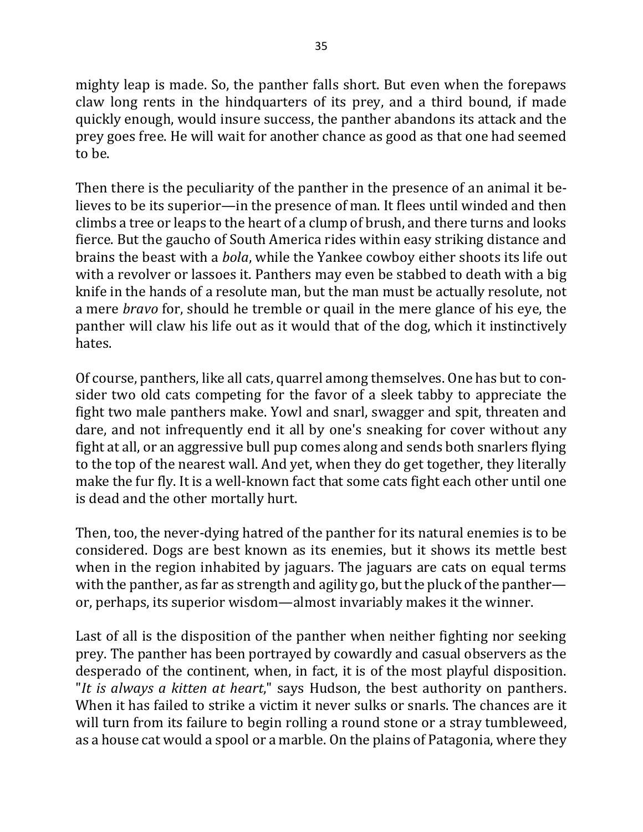mighty leap is made. So, the panther falls short. But even when the forepaws claw long rents in the hindquarters of its prey, and a third bound, if made quickly enough, would insure success, the panther abandons its attack and the prey goes free. He will wait for another chance as good as that one had seemed to be.

Then there is the peculiarity of the panther in the presence of an animal it believes to be its superior—in the presence of man. It flees until winded and then climbs a tree or leaps to the heart of a clump of brush, and there turns and looks fierce. But the gaucho of South America rides within easy striking distance and brains the beast with a *bola*, while the Yankee cowboy either shoots its life out with a revolver or lassoes it. Panthers may even be stabbed to death with a big knife in the hands of a resolute man, but the man must be actually resolute, not a mere *bravo* for, should he tremble or quail in the mere glance of his eye, the panther will claw his life out as it would that of the dog, which it instinctively hates.

Of course, panthers, like all cats, quarrel among themselves. One has but to consider two old cats competing for the favor of a sleek tabby to appreciate the fight two male panthers make. Yowl and snarl, swagger and spit, threaten and dare, and not infrequently end it all by one's sneaking for cover without any fight at all, or an aggressive bull pup comes along and sends both snarlers flying to the top of the nearest wall. And yet, when they do get together, they literally make the fur fly. It is a well-known fact that some cats fight each other until one is dead and the other mortally hurt.

Then, too, the never-dying hatred of the panther for its natural enemies is to be considered. Dogs are best known as its enemies, but it shows its mettle best when in the region inhabited by jaguars. The jaguars are cats on equal terms with the panther, as far as strength and agility go, but the pluck of the panther or, perhaps, its superior wisdom—almost invariably makes it the winner.

Last of all is the disposition of the panther when neither fighting nor seeking prey. The panther has been portrayed by cowardly and casual observers as the desperado of the continent, when, in fact, it is of the most playful disposition. "It is always a kitten at heart," says Hudson, the best authority on panthers. When it has failed to strike a victim it never sulks or snarls. The chances are it will turn from its failure to begin rolling a round stone or a stray tumbleweed, as a house cat would a spool or a marble. On the plains of Patagonia, where they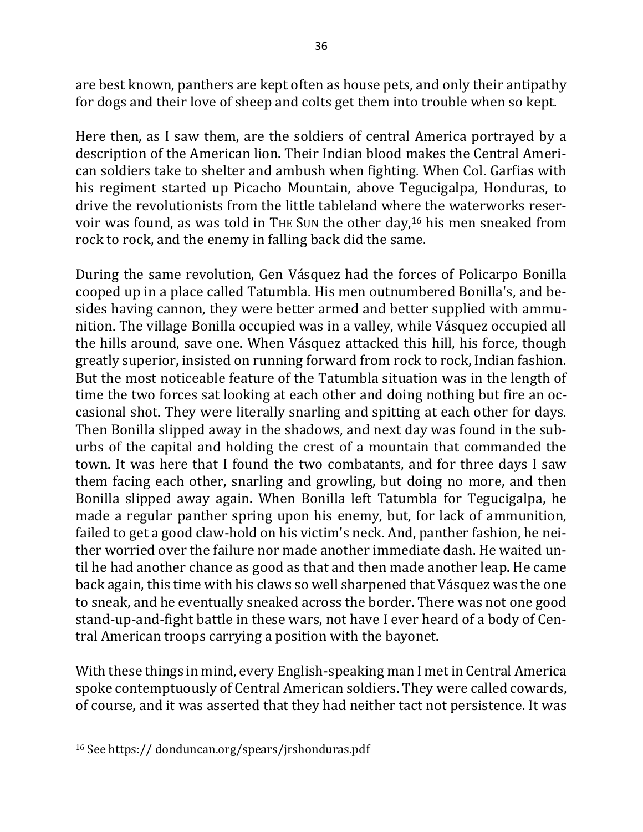are best known, panthers are kept often as house pets, and only their antipathy for dogs and their love of sheep and colts get them into trouble when so kept.

Here then, as I saw them, are the soldiers of central America portrayed by a description of the American lion. Their Indian blood makes the Central American soldiers take to shelter and ambush when fighting. When Col. Garfias with his regiment started up Picacho Mountain, above Tegucigalpa, Honduras, to drive the revolutionists from the little tableland where the waterworks reservoir was found, as was told in THE SUN the other day,<sup>16</sup> his men sneaked from rock to rock, and the enemy in falling back did the same.

During the same revolution, Gen Vásquez had the forces of Policarpo Bonilla cooped up in a place called Tatumbla. His men outnumbered Bonilla's, and besides having cannon, they were better armed and better supplied with ammunition. The village Bonilla occupied was in a valley, while Vásquez occupied all the hills around, save one. When Vásquez attacked this hill, his force, though greatly superior, insisted on running forward from rock to rock, Indian fashion. But the most noticeable feature of the Tatumbla situation was in the length of time the two forces sat looking at each other and doing nothing but fire an occasional shot. They were literally snarling and spitting at each other for days. Then Bonilla slipped away in the shadows, and next day was found in the suburbs of the capital and holding the crest of a mountain that commanded the town. It was here that I found the two combatants, and for three days I saw them facing each other, snarling and growling, but doing no more, and then Bonilla slipped away again. When Bonilla left Tatumbla for Tegucigalpa, he made a regular panther spring upon his enemy, but, for lack of ammunition, failed to get a good claw-hold on his victim's neck. And, panther fashion, he neither worried over the failure nor made another immediate dash. He waited until he had another chance as good as that and then made another leap. He came back again, this time with his claws so well sharpened that Vásquez was the one to sneak, and he eventually sneaked across the border. There was not one good stand-up-and-fight battle in these wars, not have I ever heard of a body of Central American troops carrying a position with the bayonet.

With these things in mind, every English-speaking man I met in Central America spoke contemptuously of Central American soldiers. They were called cowards, of course, and it was asserted that they had neither tact not persistence. It was

<sup>&</sup>lt;sup>16</sup> See https:// donduncan.org/spears/jrshonduras.pdf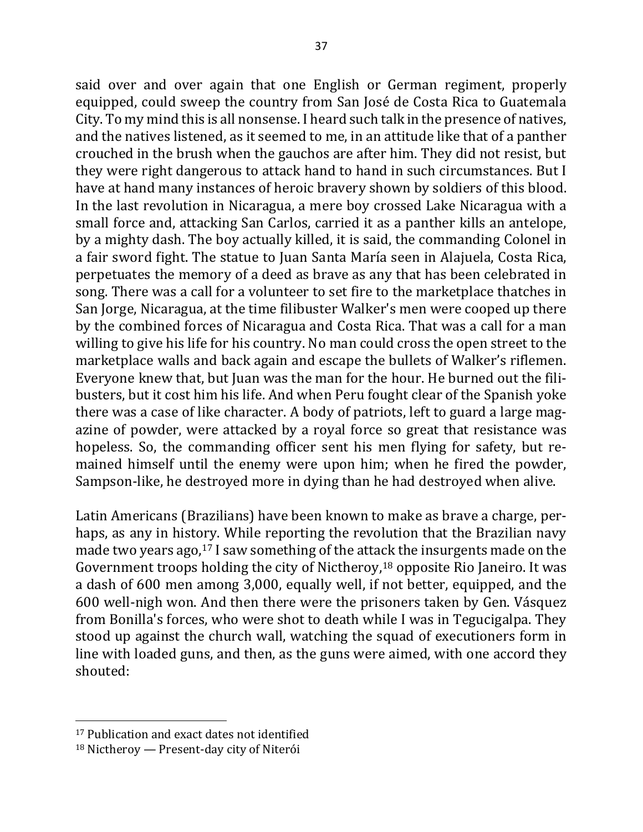said over and over again that one English or German regiment, properly equipped, could sweep the country from San José de Costa Rica to Guatemala City. To my mind this is all nonsense. I heard such talk in the presence of natives, and the natives listened, as it seemed to me, in an attitude like that of a panther crouched in the brush when the gauchos are after him. They did not resist, but they were right dangerous to attack hand to hand in such circumstances. But I have at hand many instances of heroic bravery shown by soldiers of this blood. In the last revolution in Nicaragua, a mere boy crossed Lake Nicaragua with a small force and, attacking San Carlos, carried it as a panther kills an antelope, by a mighty dash. The boy actually killed, it is said, the commanding Colonel in a fair sword fight. The statue to Juan Santa María seen in Alajuela, Costa Rica, perpetuates the memory of a deed as brave as any that has been celebrated in song. There was a call for a volunteer to set fire to the marketplace thatches in San Jorge, Nicaragua, at the time filibuster Walker's men were cooped up there by the combined forces of Nicaragua and Costa Rica. That was a call for a man willing to give his life for his country. No man could cross the open street to the marketplace walls and back again and escape the bullets of Walker's riflemen. Everyone knew that, but Juan was the man for the hour. He burned out the filibusters, but it cost him his life. And when Peru fought clear of the Spanish yoke there was a case of like character. A body of patriots, left to guard a large magazine of powder, were attacked by a royal force so great that resistance was hopeless. So, the commanding officer sent his men flying for safety, but remained himself until the enemy were upon him; when he fired the powder, Sampson-like, he destroyed more in dying than he had destroyed when alive.

Latin Americans (Brazilians) have been known to make as brave a charge, perhaps, as any in history. While reporting the revolution that the Brazilian navy made two years ago, $17$  I saw something of the attack the insurgents made on the Government troops holding the city of Nictheroy,<sup>18</sup> opposite Rio Janeiro. It was a dash of 600 men among 3,000, equally well, if not better, equipped, and the 600 well-nigh won. And then there were the prisoners taken by Gen. Vásquez from Bonilla's forces, who were shot to death while I was in Tegucigalpa. They stood up against the church wall, watching the squad of executioners form in line with loaded guns, and then, as the guns were aimed, with one accord they shouted:

<sup>&</sup>lt;sup>17</sup> Publication and exact dates not identified

 $18$  Nictheroy — Present-day city of Niterói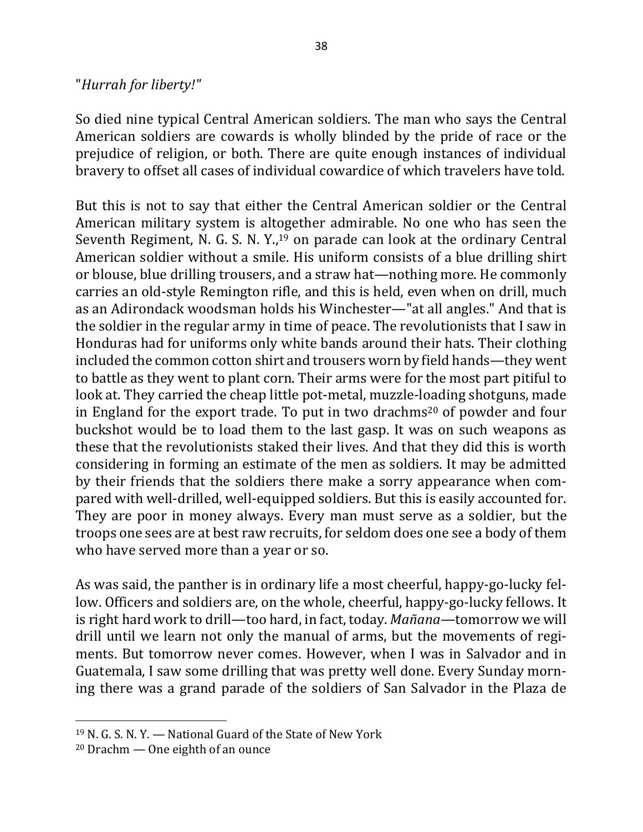#### "*Hurrah for liberty!"*

So died nine typical Central American soldiers. The man who says the Central American soldiers are cowards is wholly blinded by the pride of race or the prejudice of religion, or both. There are quite enough instances of individual bravery to offset all cases of individual cowardice of which travelers have told.

But this is not to say that either the Central American soldier or the Central American military system is altogether admirable. No one who has seen the Seventh Regiment, N. G. S. N. Y.,<sup>19</sup> on parade can look at the ordinary Central American soldier without a smile. His uniform consists of a blue drilling shirt or blouse, blue drilling trousers, and a straw hat—nothing more. He commonly carries an old-style Remington rifle, and this is held, even when on drill, much as an Adirondack woodsman holds his Winchester—"at all angles." And that is the soldier in the regular army in time of peace. The revolutionists that I saw in Honduras had for uniforms only white bands around their hats. Their clothing included the common cotton shirt and trousers worn by field hands—they went to battle as they went to plant corn. Their arms were for the most part pitiful to look at. They carried the cheap little pot-metal, muzzle-loading shotguns, made in England for the export trade. To put in two drachms<sup>20</sup> of powder and four buckshot would be to load them to the last gasp. It was on such weapons as these that the revolutionists staked their lives. And that they did this is worth considering in forming an estimate of the men as soldiers. It may be admitted by their friends that the soldiers there make a sorry appearance when compared with well-drilled, well-equipped soldiers. But this is easily accounted for. They are poor in money always. Every man must serve as a soldier, but the troops one sees are at best raw recruits, for seldom does one see a body of them who have served more than a year or so.

As was said, the panther is in ordinary life a most cheerful, happy-go-lucky fellow. Officers and soldiers are, on the whole, cheerful, happy-go-lucky fellows. It is right hard work to drill—too hard, in fact, today. *Mañana*—tomorrow we will drill until we learn not only the manual of arms, but the movements of regiments. But tomorrow never comes. However, when I was in Salvador and in Guatemala, I saw some drilling that was pretty well done. Every Sunday morning there was a grand parade of the soldiers of San Salvador in the Plaza de

 $19$  N. G. S. N. Y. — National Guard of the State of New York

 $20$  Drachm  $-$  One eighth of an ounce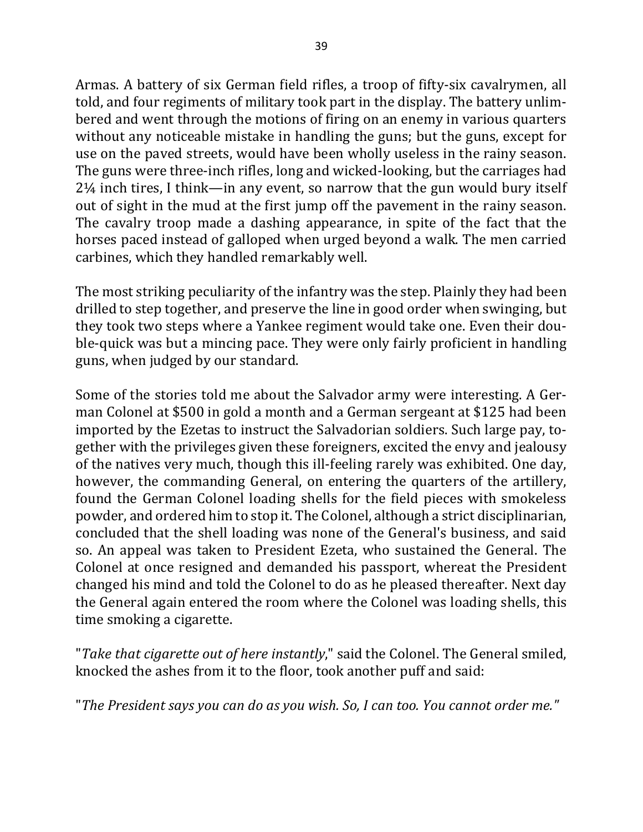Armas. A battery of six German field rifles, a troop of fifty-six cavalrymen, all told, and four regiments of military took part in the display. The battery unlimbered and went through the motions of firing on an enemy in various quarters without any noticeable mistake in handling the guns; but the guns, except for use on the paved streets, would have been wholly useless in the rainy season. The guns were three-inch rifles, long and wicked-looking, but the carriages had  $2\frac{1}{4}$  inch tires, I think—in any event, so narrow that the gun would bury itself out of sight in the mud at the first jump off the pavement in the rainy season. The cavalry troop made a dashing appearance, in spite of the fact that the horses paced instead of galloped when urged beyond a walk. The men carried carbines, which they handled remarkably well.

The most striking peculiarity of the infantry was the step. Plainly they had been drilled to step together, and preserve the line in good order when swinging, but they took two steps where a Yankee regiment would take one. Even their double-quick was but a mincing pace. They were only fairly proficient in handling guns, when judged by our standard.

Some of the stories told me about the Salvador army were interesting. A German Colonel at \$500 in gold a month and a German sergeant at \$125 had been imported by the Ezetas to instruct the Salvadorian soldiers. Such large pay, together with the privileges given these foreigners, excited the envy and jealousy of the natives very much, though this ill-feeling rarely was exhibited. One day, however, the commanding General, on entering the quarters of the artillery, found the German Colonel loading shells for the field pieces with smokeless powder, and ordered him to stop it. The Colonel, although a strict disciplinarian, concluded that the shell loading was none of the General's business, and said so. An appeal was taken to President Ezeta, who sustained the General. The Colonel at once resigned and demanded his passport, whereat the President changed his mind and told the Colonel to do as he pleased thereafter. Next day the General again entered the room where the Colonel was loading shells, this time smoking a cigarette.

"*Take that cigarette out of here instantly*," said the Colonel. The General smiled, knocked the ashes from it to the floor, took another puff and said:

"The President says you can do as you wish. So, I can too. You cannot order me."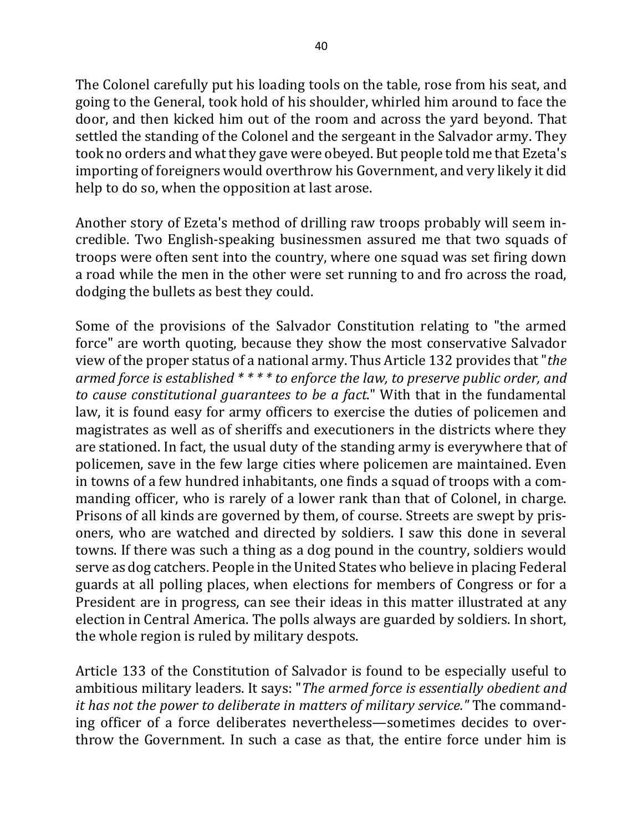The Colonel carefully put his loading tools on the table, rose from his seat, and going to the General, took hold of his shoulder, whirled him around to face the door, and then kicked him out of the room and across the yard beyond. That settled the standing of the Colonel and the sergeant in the Salvador army. They took no orders and what they gave were obeyed. But people told me that Ezeta's importing of foreigners would overthrow his Government, and very likely it did help to do so, when the opposition at last arose.

Another story of Ezeta's method of drilling raw troops probably will seem incredible. Two English-speaking businessmen assured me that two squads of troops were often sent into the country, where one squad was set firing down a road while the men in the other were set running to and fro across the road, dodging the bullets as best they could.

Some of the provisions of the Salvador Constitution relating to "the armed force" are worth quoting, because they show the most conservative Salvador view of the proper status of a national army. Thus Article 132 provides that "*the armed force is established* \* \* \* \* *to enforce the law, to preserve public order, and to cause constitutional guarantees to be a fact.*" With that in the fundamental law, it is found easy for army officers to exercise the duties of policemen and magistrates as well as of sheriffs and executioners in the districts where they are stationed. In fact, the usual duty of the standing army is everywhere that of policemen, save in the few large cities where policemen are maintained. Even in towns of a few hundred inhabitants, one finds a squad of troops with a commanding officer, who is rarely of a lower rank than that of Colonel, in charge. Prisons of all kinds are governed by them, of course. Streets are swept by prisoners, who are watched and directed by soldiers. I saw this done in several towns. If there was such a thing as a dog pound in the country, soldiers would serve as dog catchers. People in the United States who believe in placing Federal guards at all polling places, when elections for members of Congress or for a President are in progress, can see their ideas in this matter illustrated at any election in Central America. The polls always are guarded by soldiers. In short, the whole region is ruled by military despots.

Article 133 of the Constitution of Salvador is found to be especially useful to ambitious military leaders. It says: "The armed force is essentially obedient and *it has not the power to deliberate in matters of military service."* The commanding officer of a force deliberates nevertheless—sometimes decides to overthrow the Government. In such a case as that, the entire force under him is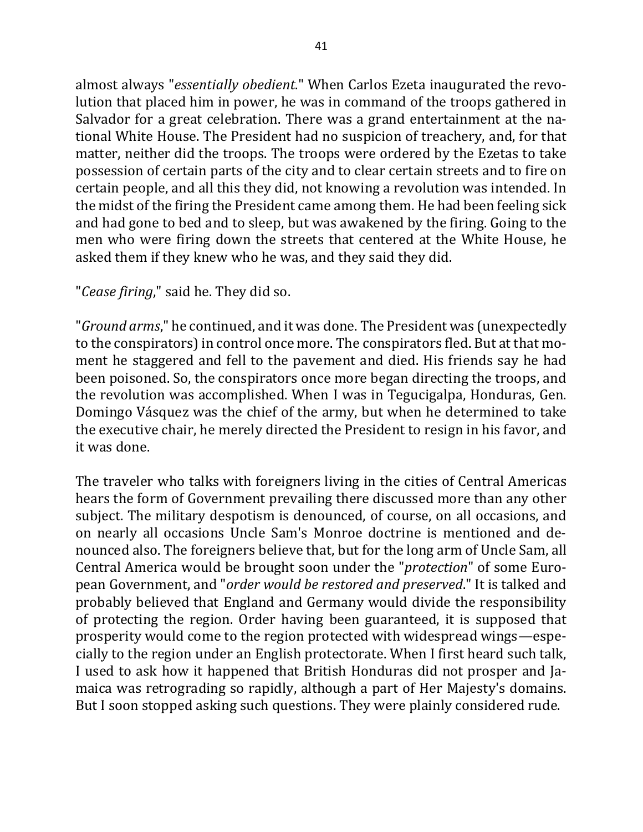almost always "essentially obedient." When Carlos Ezeta inaugurated the revolution that placed him in power, he was in command of the troops gathered in Salvador for a great celebration. There was a grand entertainment at the national White House. The President had no suspicion of treachery, and, for that matter, neither did the troops. The troops were ordered by the Ezetas to take possession of certain parts of the city and to clear certain streets and to fire on certain people, and all this they did, not knowing a revolution was intended. In the midst of the firing the President came among them. He had been feeling sick and had gone to bed and to sleep, but was awakened by the firing. Going to the men who were firing down the streets that centered at the White House, he asked them if they knew who he was, and they said they did.

"*Cease firing*," said he. They did so.

"*Ground arms*," he continued, and it was done. The President was (unexpectedly to the conspirators) in control once more. The conspirators fled. But at that moment he staggered and fell to the pavement and died. His friends say he had been poisoned. So, the conspirators once more began directing the troops, and the revolution was accomplished. When I was in Tegucigalpa, Honduras, Gen. Domingo Vásquez was the chief of the army, but when he determined to take the executive chair, he merely directed the President to resign in his favor, and it was done.

The traveler who talks with foreigners living in the cities of Central Americas hears the form of Government prevailing there discussed more than any other subject. The military despotism is denounced, of course, on all occasions, and on nearly all occasions Uncle Sam's Monroe doctrine is mentioned and denounced also. The foreigners believe that, but for the long arm of Uncle Sam, all Central America would be brought soon under the "*protection*" of some European Government, and "*order would be restored and preserved*." It is talked and probably believed that England and Germany would divide the responsibility of protecting the region. Order having been guaranteed, it is supposed that prosperity would come to the region protected with widespread wings—especially to the region under an English protectorate. When I first heard such talk, I used to ask how it happened that British Honduras did not prosper and Jamaica was retrograding so rapidly, although a part of Her Majesty's domains. But I soon stopped asking such questions. They were plainly considered rude.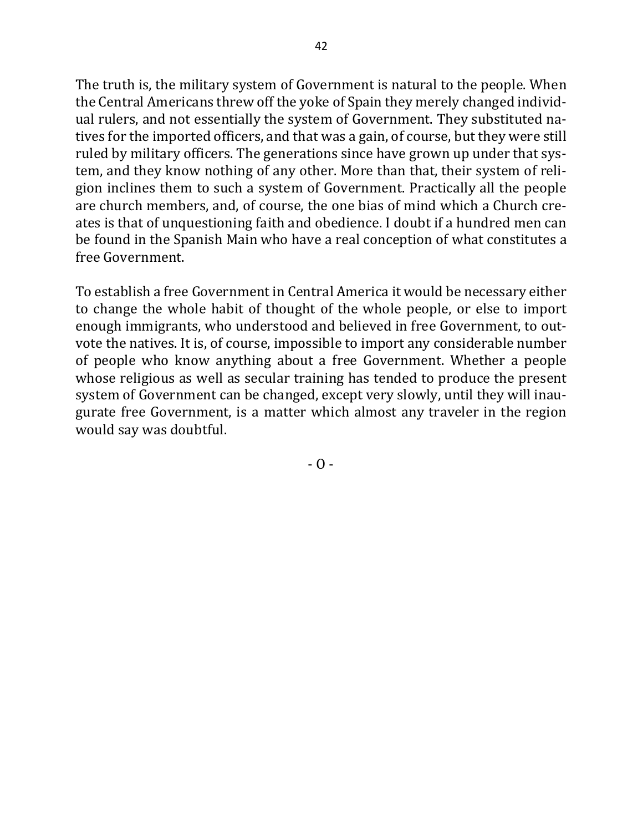The truth is, the military system of Government is natural to the people. When the Central Americans threw off the yoke of Spain they merely changed individual rulers, and not essentially the system of Government. They substituted natives for the imported officers, and that was a gain, of course, but they were still ruled by military officers. The generations since have grown up under that system, and they know nothing of any other. More than that, their system of religion inclines them to such a system of Government. Practically all the people are church members, and, of course, the one bias of mind which a Church creates is that of unquestioning faith and obedience. I doubt if a hundred men can be found in the Spanish Main who have a real conception of what constitutes a free Government.

To establish a free Government in Central America it would be necessary either to change the whole habit of thought of the whole people, or else to import enough immigrants, who understood and believed in free Government, to outvote the natives. It is, of course, impossible to import any considerable number of people who know anything about a free Government. Whether a people whose religious as well as secular training has tended to produce the present system of Government can be changed, except very slowly, until they will inaugurate free Government, is a matter which almost any traveler in the region would say was doubtful.

 $- 0 -$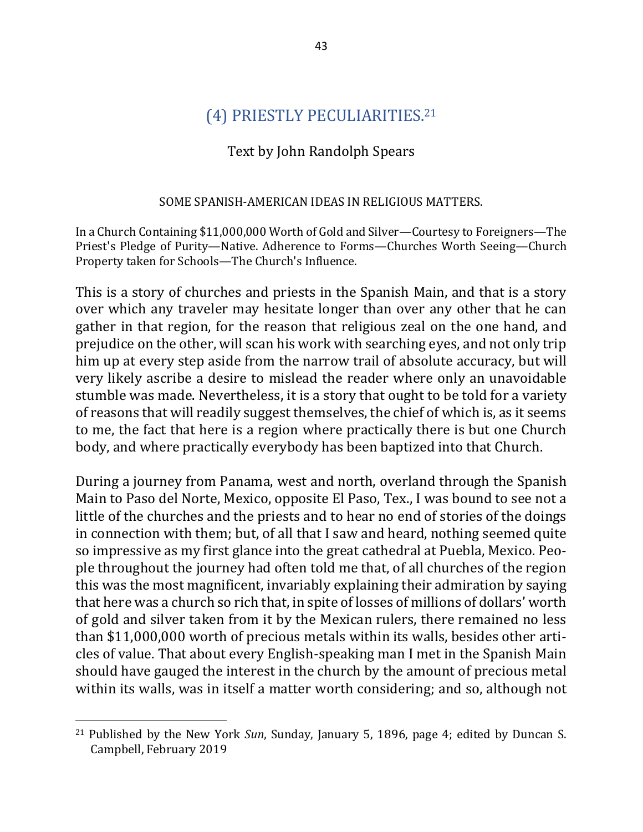## (4) PRIESTLY PECULIARITIES.<sup>21</sup>

### Text by John Randolph Spears

#### SOME SPANISH-AMERICAN IDEAS IN RELIGIOUS MATTERS.

In a Church Containing \$11,000,000 Worth of Gold and Silver—Courtesy to Foreigners—The Priest's Pledge of Purity—Native. Adherence to Forms—Churches Worth Seeing—Church Property taken for Schools-The Church's Influence.

This is a story of churches and priests in the Spanish Main, and that is a story over which any traveler may hesitate longer than over any other that he can gather in that region, for the reason that religious zeal on the one hand, and prejudice on the other, will scan his work with searching eyes, and not only trip him up at every step aside from the narrow trail of absolute accuracy, but will very likely ascribe a desire to mislead the reader where only an unavoidable stumble was made. Nevertheless, it is a story that ought to be told for a variety of reasons that will readily suggest themselves, the chief of which is, as it seems to me, the fact that here is a region where practically there is but one Church body, and where practically everybody has been baptized into that Church.

During a journey from Panama, west and north, overland through the Spanish Main to Paso del Norte, Mexico, opposite El Paso, Tex., I was bound to see not a little of the churches and the priests and to hear no end of stories of the doings in connection with them; but, of all that I saw and heard, nothing seemed quite so impressive as my first glance into the great cathedral at Puebla, Mexico. People throughout the journey had often told me that, of all churches of the region this was the most magnificent, invariably explaining their admiration by saying that here was a church so rich that, in spite of losses of millions of dollars' worth of gold and silver taken from it by the Mexican rulers, there remained no less than \$11,000,000 worth of precious metals within its walls, besides other articles of value. That about every English-speaking man I met in the Spanish Main should have gauged the interest in the church by the amount of precious metal within its walls, was in itself a matter worth considering; and so, although not

<sup>&</sup>lt;sup>21</sup> Published by the New York *Sun*, Sunday, January 5, 1896, page 4; edited by Duncan S. Campbell, February 2019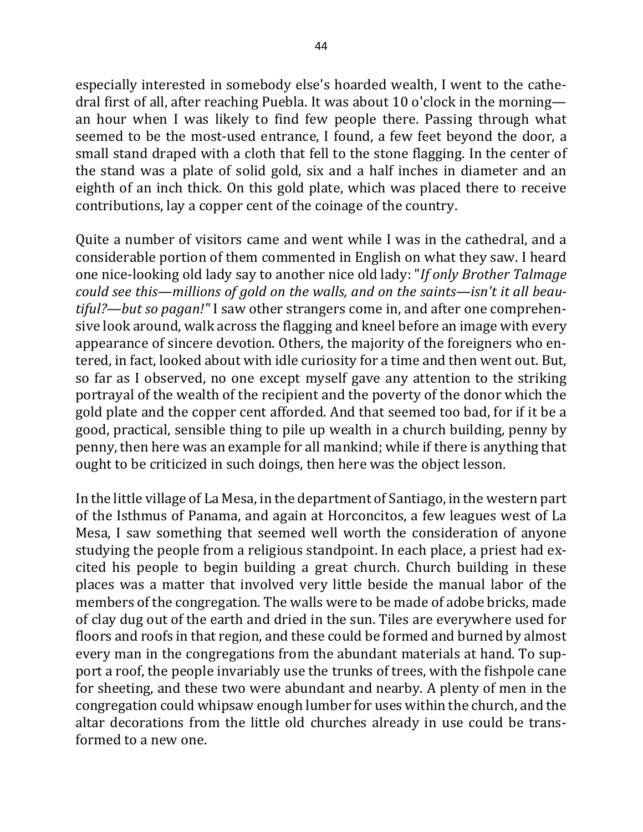especially interested in somebody else's hoarded wealth, I went to the cathedral first of all, after reaching Puebla. It was about 10 o'clock in the morning an hour when I was likely to find few people there. Passing through what seemed to be the most-used entrance, I found, a few feet beyond the door, a small stand draped with a cloth that fell to the stone flagging. In the center of the stand was a plate of solid gold, six and a half inches in diameter and an eighth of an inch thick. On this gold plate, which was placed there to receive contributions, lay a copper cent of the coinage of the country.

Quite a number of visitors came and went while I was in the cathedral, and a considerable portion of them commented in English on what they saw. I heard one nice-looking old lady say to another nice old lady: "*If only Brother Talmage* could see this—millions of gold on the walls, and on the saints—isn't it all beau*tiful?—but so pagan!"* I saw other strangers come in, and after one comprehensive look around, walk across the flagging and kneel before an image with every appearance of sincere devotion. Others, the majority of the foreigners who entered, in fact, looked about with idle curiosity for a time and then went out. But, so far as I observed, no one except myself gave any attention to the striking portrayal of the wealth of the recipient and the poverty of the donor which the gold plate and the copper cent afforded. And that seemed too bad, for if it be a good, practical, sensible thing to pile up wealth in a church building, penny by penny, then here was an example for all mankind; while if there is anything that ought to be criticized in such doings, then here was the object lesson.

In the little village of La Mesa, in the department of Santiago, in the western part of the Isthmus of Panama, and again at Horconcitos, a few leagues west of La Mesa, I saw something that seemed well worth the consideration of anyone studying the people from a religious standpoint. In each place, a priest had excited his people to begin building a great church. Church building in these places was a matter that involved very little beside the manual labor of the members of the congregation. The walls were to be made of adobe bricks, made of clay dug out of the earth and dried in the sun. Tiles are everywhere used for floors and roofs in that region, and these could be formed and burned by almost every man in the congregations from the abundant materials at hand. To support a roof, the people invariably use the trunks of trees, with the fishpole cane for sheeting, and these two were abundant and nearby. A plenty of men in the congregation could whipsaw enough lumber for uses within the church, and the altar decorations from the little old churches already in use could be transformed to a new one.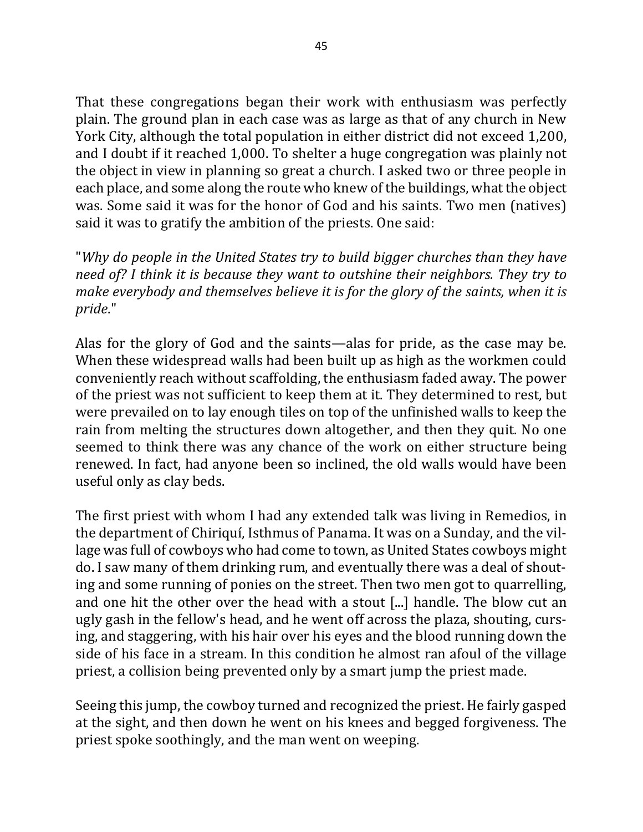That these congregations began their work with enthusiasm was perfectly plain. The ground plan in each case was as large as that of any church in New York City, although the total population in either district did not exceed 1,200, and I doubt if it reached 1,000. To shelter a huge congregation was plainly not the object in view in planning so great a church. I asked two or three people in each place, and some along the route who knew of the buildings, what the object was. Some said it was for the honor of God and his saints. Two men (natives) said it was to gratify the ambition of the priests. One said:

"Why do people in the United States try to build bigger churches than they have *need of?* I think it is because they want to outshine their neighbors. They try to *make everybody and themselves believe it is for the glory of the saints, when it is pride*."

Alas for the glory of God and the saints—alas for pride, as the case may be. When these widespread walls had been built up as high as the workmen could conveniently reach without scaffolding, the enthusiasm faded away. The power of the priest was not sufficient to keep them at it. They determined to rest, but were prevailed on to lay enough tiles on top of the unfinished walls to keep the rain from melting the structures down altogether, and then they quit. No one seemed to think there was any chance of the work on either structure being renewed. In fact, had anyone been so inclined, the old walls would have been useful only as clay beds.

The first priest with whom I had any extended talk was living in Remedios, in the department of Chiriquí, Isthmus of Panama. It was on a Sunday, and the village was full of cowboys who had come to town, as United States cowboys might do. I saw many of them drinking rum, and eventually there was a deal of shouting and some running of ponies on the street. Then two men got to quarrelling, and one hit the other over the head with a stout [...] handle. The blow cut an ugly gash in the fellow's head, and he went off across the plaza, shouting, cursing, and staggering, with his hair over his eyes and the blood running down the side of his face in a stream. In this condition he almost ran afoul of the village priest, a collision being prevented only by a smart jump the priest made.

Seeing this jump, the cowboy turned and recognized the priest. He fairly gasped at the sight, and then down he went on his knees and begged forgiveness. The priest spoke soothingly, and the man went on weeping.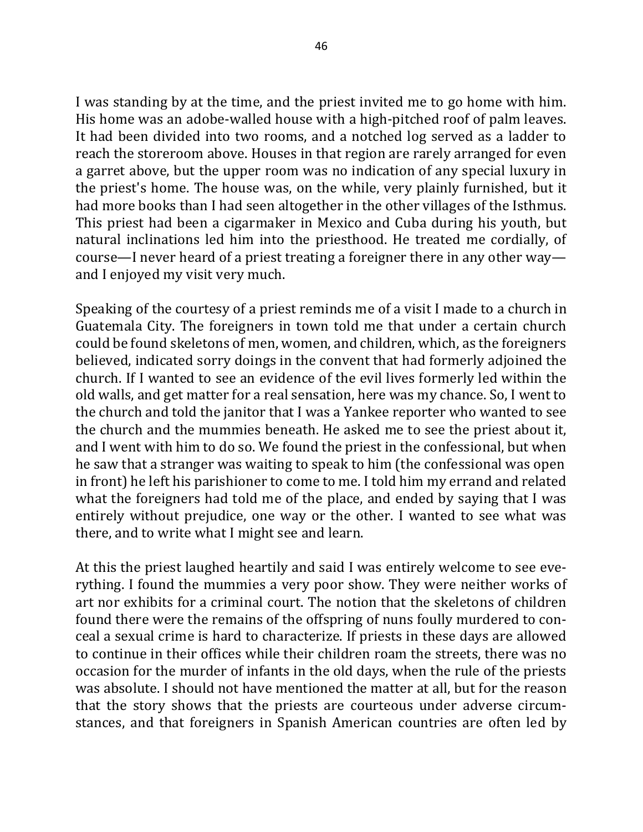I was standing by at the time, and the priest invited me to go home with him. His home was an adobe-walled house with a high-pitched roof of palm leaves. It had been divided into two rooms, and a notched log served as a ladder to reach the storeroom above. Houses in that region are rarely arranged for even a garret above, but the upper room was no indication of any special luxury in the priest's home. The house was, on the while, very plainly furnished, but it had more books than I had seen altogether in the other villages of the Isthmus. This priest had been a cigarmaker in Mexico and Cuba during his youth, but natural inclinations led him into the priesthood. He treated me cordially, of course—I never heard of a priest treating a foreigner there in any other way and I enjoyed my visit very much.

Speaking of the courtesy of a priest reminds me of a visit I made to a church in Guatemala City. The foreigners in town told me that under a certain church could be found skeletons of men, women, and children, which, as the foreigners believed, indicated sorry doings in the convent that had formerly adjoined the church. If I wanted to see an evidence of the evil lives formerly led within the old walls, and get matter for a real sensation, here was my chance. So, I went to the church and told the janitor that I was a Yankee reporter who wanted to see the church and the mummies beneath. He asked me to see the priest about it, and I went with him to do so. We found the priest in the confessional, but when he saw that a stranger was waiting to speak to him (the confessional was open in front) he left his parishioner to come to me. I told him my errand and related what the foreigners had told me of the place, and ended by saying that I was entirely without prejudice, one way or the other. I wanted to see what was there, and to write what I might see and learn.

At this the priest laughed heartily and said I was entirely welcome to see everything. I found the mummies a very poor show. They were neither works of art nor exhibits for a criminal court. The notion that the skeletons of children found there were the remains of the offspring of nuns foully murdered to conceal a sexual crime is hard to characterize. If priests in these days are allowed to continue in their offices while their children roam the streets, there was no occasion for the murder of infants in the old days, when the rule of the priests was absolute. I should not have mentioned the matter at all, but for the reason that the story shows that the priests are courteous under adverse circumstances, and that foreigners in Spanish American countries are often led by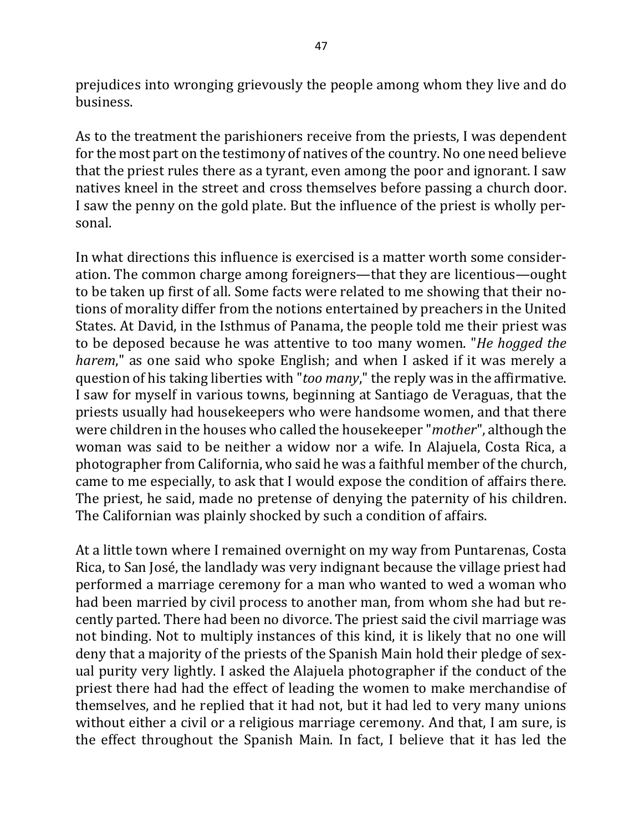prejudices into wronging grievously the people among whom they live and do business.

As to the treatment the parishioners receive from the priests, I was dependent for the most part on the testimony of natives of the country. No one need believe that the priest rules there as a tyrant, even among the poor and ignorant. I saw natives kneel in the street and cross themselves before passing a church door. I saw the penny on the gold plate. But the influence of the priest is wholly personal.

In what directions this influence is exercised is a matter worth some consideration. The common charge among foreigners—that they are licentious—ought to be taken up first of all. Some facts were related to me showing that their notions of morality differ from the notions entertained by preachers in the United States. At David, in the Isthmus of Panama, the people told me their priest was to be deposed because he was attentive to too many women. "*He hogged the harem*," as one said who spoke English; and when I asked if it was merely a question of his taking liberties with "too many," the reply was in the affirmative. I saw for myself in various towns, beginning at Santiago de Veraguas, that the priests usually had housekeepers who were handsome women, and that there were children in the houses who called the housekeeper "*mother*", although the woman was said to be neither a widow nor a wife. In Alajuela, Costa Rica, a photographer from California, who said he was a faithful member of the church, came to me especially, to ask that I would expose the condition of affairs there. The priest, he said, made no pretense of denying the paternity of his children. The Californian was plainly shocked by such a condition of affairs.

At a little town where I remained overnight on my way from Puntarenas, Costa Rica, to San José, the landlady was very indignant because the village priest had performed a marriage ceremony for a man who wanted to wed a woman who had been married by civil process to another man, from whom she had but recently parted. There had been no divorce. The priest said the civil marriage was not binding. Not to multiply instances of this kind, it is likely that no one will deny that a majority of the priests of the Spanish Main hold their pledge of sexual purity very lightly. I asked the Alajuela photographer if the conduct of the priest there had had the effect of leading the women to make merchandise of themselves, and he replied that it had not, but it had led to very many unions without either a civil or a religious marriage ceremony. And that, I am sure, is the effect throughout the Spanish Main. In fact, I believe that it has led the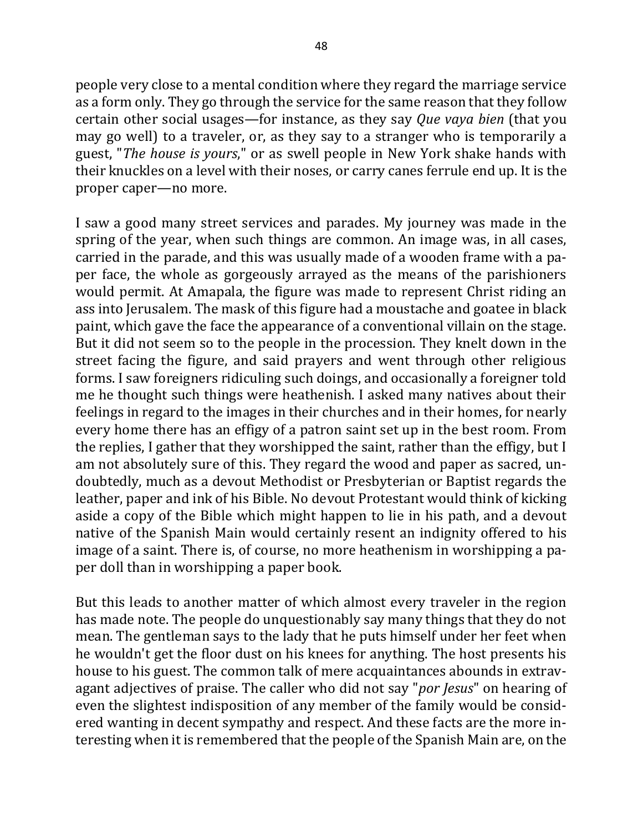people very close to a mental condition where they regard the marriage service as a form only. They go through the service for the same reason that they follow certain other social usages—for instance, as they say *Que vaya bien* (that you may go well) to a traveler, or, as they say to a stranger who is temporarily a guest, "*The house is yours*," or as swell people in New York shake hands with their knuckles on a level with their noses, or carry canes ferrule end up. It is the proper caper—no more.

I saw a good many street services and parades. My journey was made in the spring of the year, when such things are common. An image was, in all cases, carried in the parade, and this was usually made of a wooden frame with a paper face, the whole as gorgeously arrayed as the means of the parishioners would permit. At Amapala, the figure was made to represent Christ riding an ass into Jerusalem. The mask of this figure had a moustache and goatee in black paint, which gave the face the appearance of a conventional villain on the stage. But it did not seem so to the people in the procession. They knelt down in the street facing the figure, and said prayers and went through other religious forms. I saw foreigners ridiculing such doings, and occasionally a foreigner told me he thought such things were heathenish. I asked many natives about their feelings in regard to the images in their churches and in their homes, for nearly every home there has an effigy of a patron saint set up in the best room. From the replies, I gather that they worshipped the saint, rather than the effigy, but I am not absolutely sure of this. They regard the wood and paper as sacred, undoubtedly, much as a devout Methodist or Presbyterian or Baptist regards the leather, paper and ink of his Bible. No devout Protestant would think of kicking aside a copy of the Bible which might happen to lie in his path, and a devout native of the Spanish Main would certainly resent an indignity offered to his image of a saint. There is, of course, no more heathenism in worshipping a paper doll than in worshipping a paper book.

But this leads to another matter of which almost every traveler in the region has made note. The people do unquestionably say many things that they do not mean. The gentleman says to the lady that he puts himself under her feet when he wouldn't get the floor dust on his knees for anything. The host presents his house to his guest. The common talk of mere acquaintances abounds in extravagant adjectives of praise. The caller who did not say "*por Jesus*" on hearing of even the slightest indisposition of any member of the family would be considered wanting in decent sympathy and respect. And these facts are the more interesting when it is remembered that the people of the Spanish Main are, on the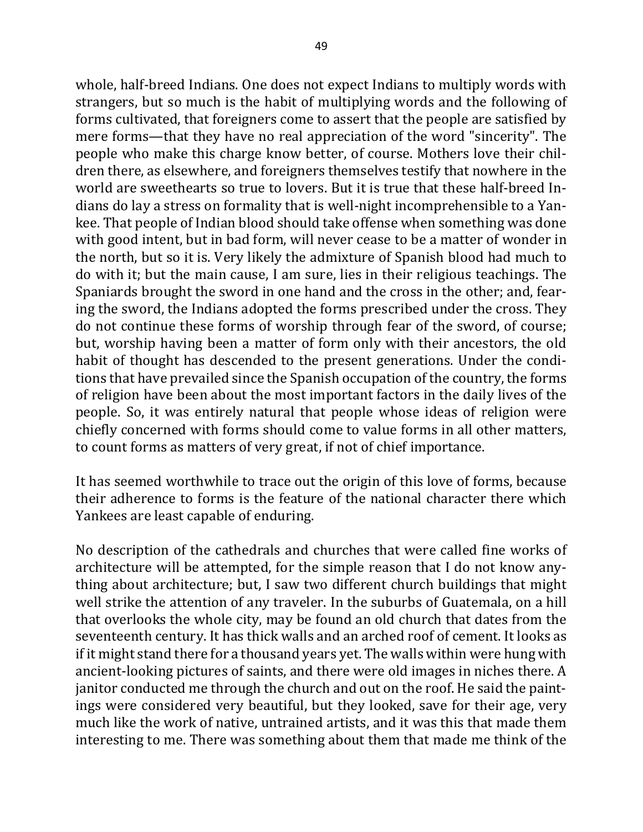whole, half-breed Indians. One does not expect Indians to multiply words with strangers, but so much is the habit of multiplying words and the following of forms cultivated, that foreigners come to assert that the people are satisfied by mere forms—that they have no real appreciation of the word "sincerity". The people who make this charge know better, of course. Mothers love their children there, as elsewhere, and foreigners themselves testify that nowhere in the world are sweethearts so true to lovers. But it is true that these half-breed Indians do lay a stress on formality that is well-night incomprehensible to a Yankee. That people of Indian blood should take offense when something was done with good intent, but in bad form, will never cease to be a matter of wonder in the north, but so it is. Very likely the admixture of Spanish blood had much to do with it; but the main cause, I am sure, lies in their religious teachings. The Spaniards brought the sword in one hand and the cross in the other; and, fearing the sword, the Indians adopted the forms prescribed under the cross. They do not continue these forms of worship through fear of the sword, of course; but, worship having been a matter of form only with their ancestors, the old habit of thought has descended to the present generations. Under the conditions that have prevailed since the Spanish occupation of the country, the forms of religion have been about the most important factors in the daily lives of the people. So, it was entirely natural that people whose ideas of religion were chiefly concerned with forms should come to value forms in all other matters, to count forms as matters of very great, if not of chief importance.

It has seemed worthwhile to trace out the origin of this love of forms, because their adherence to forms is the feature of the national character there which Yankees are least capable of enduring.

No description of the cathedrals and churches that were called fine works of architecture will be attempted, for the simple reason that I do not know anything about architecture; but, I saw two different church buildings that might well strike the attention of any traveler. In the suburbs of Guatemala, on a hill that overlooks the whole city, may be found an old church that dates from the seventeenth century. It has thick walls and an arched roof of cement. It looks as if it might stand there for a thousand years yet. The walls within were hung with ancient-looking pictures of saints, and there were old images in niches there. A janitor conducted me through the church and out on the roof. He said the paintings were considered very beautiful, but they looked, save for their age, very much like the work of native, untrained artists, and it was this that made them interesting to me. There was something about them that made me think of the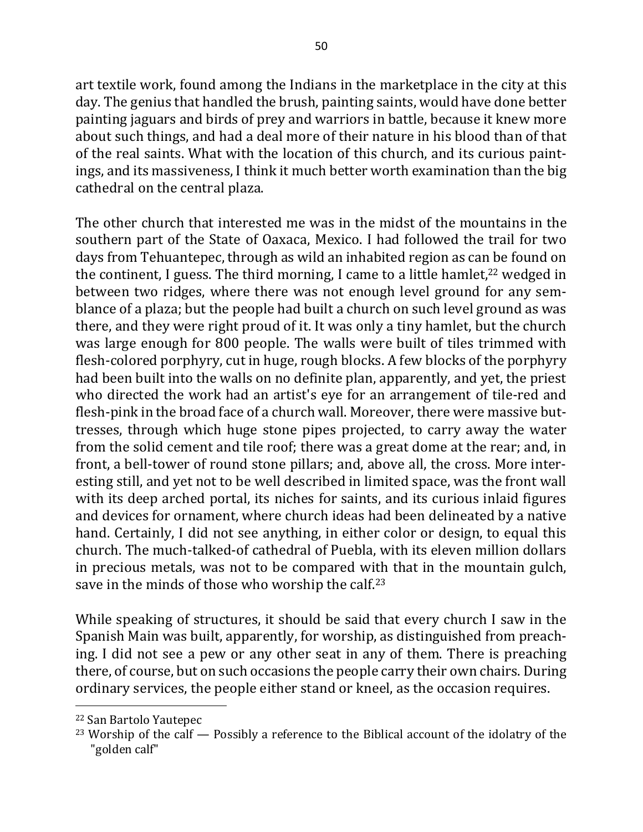art textile work, found among the Indians in the marketplace in the city at this day. The genius that handled the brush, painting saints, would have done better painting jaguars and birds of prey and warriors in battle, because it knew more about such things, and had a deal more of their nature in his blood than of that of the real saints. What with the location of this church, and its curious paintings, and its massiveness, I think it much better worth examination than the big cathedral on the central plaza.

The other church that interested me was in the midst of the mountains in the southern part of the State of Oaxaca, Mexico. I had followed the trail for two days from Tehuantepec, through as wild an inhabited region as can be found on the continent, I guess. The third morning, I came to a little hamlet, $22$  wedged in between two ridges, where there was not enough level ground for any semblance of a plaza; but the people had built a church on such level ground as was there, and they were right proud of it. It was only a tiny hamlet, but the church was large enough for 800 people. The walls were built of tiles trimmed with flesh-colored porphyry, cut in huge, rough blocks. A few blocks of the porphyry had been built into the walls on no definite plan, apparently, and yet, the priest who directed the work had an artist's eye for an arrangement of tile-red and flesh-pink in the broad face of a church wall. Moreover, there were massive buttresses, through which huge stone pipes projected, to carry away the water from the solid cement and tile roof; there was a great dome at the rear; and, in front, a bell-tower of round stone pillars; and, above all, the cross. More interesting still, and yet not to be well described in limited space, was the front wall with its deep arched portal, its niches for saints, and its curious inlaid figures and devices for ornament, where church ideas had been delineated by a native hand. Certainly, I did not see anything, in either color or design, to equal this church. The much-talked-of cathedral of Puebla, with its eleven million dollars in precious metals, was not to be compared with that in the mountain gulch, save in the minds of those who worship the calf.<sup>23</sup>

While speaking of structures, it should be said that every church I saw in the Spanish Main was built, apparently, for worship, as distinguished from preaching. I did not see a pew or any other seat in any of them. There is preaching there, of course, but on such occasions the people carry their own chairs. During ordinary services, the people either stand or kneel, as the occasion requires.

<sup>&</sup>lt;sup>22</sup> San Bartolo Yautepec

<sup>&</sup>lt;sup>23</sup> Worship of the calf  $-$  Possibly a reference to the Biblical account of the idolatry of the "golden calf"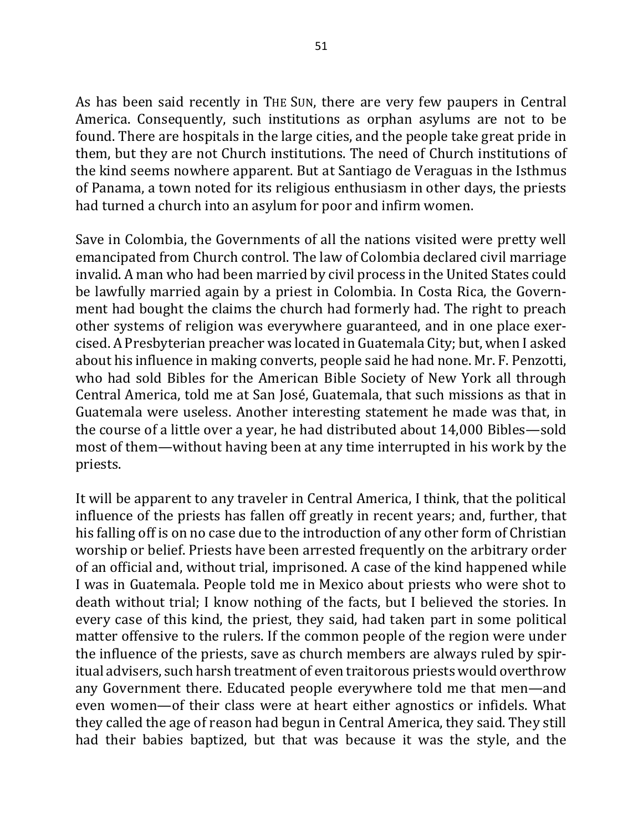As has been said recently in THE SUN, there are very few paupers in Central America. Consequently, such institutions as orphan asylums are not to be found. There are hospitals in the large cities, and the people take great pride in them, but they are not Church institutions. The need of Church institutions of the kind seems nowhere apparent. But at Santiago de Veraguas in the Isthmus of Panama, a town noted for its religious enthusiasm in other days, the priests had turned a church into an asylum for poor and infirm women.

Save in Colombia, the Governments of all the nations visited were pretty well emancipated from Church control. The law of Colombia declared civil marriage invalid. A man who had been married by civil process in the United States could be lawfully married again by a priest in Colombia. In Costa Rica, the Government had bought the claims the church had formerly had. The right to preach other systems of religion was everywhere guaranteed, and in one place exercised. A Presbyterian preacher was located in Guatemala City; but, when I asked about his influence in making converts, people said he had none. Mr. F. Penzotti, who had sold Bibles for the American Bible Society of New York all through Central America, told me at San José, Guatemala, that such missions as that in Guatemala were useless. Another interesting statement he made was that, in the course of a little over a year, he had distributed about 14,000 Bibles—sold most of them—without having been at any time interrupted in his work by the priests.

It will be apparent to any traveler in Central America, I think, that the political influence of the priests has fallen off greatly in recent years; and, further, that his falling off is on no case due to the introduction of any other form of Christian worship or belief. Priests have been arrested frequently on the arbitrary order of an official and, without trial, imprisoned. A case of the kind happened while I was in Guatemala. People told me in Mexico about priests who were shot to death without trial; I know nothing of the facts, but I believed the stories. In every case of this kind, the priest, they said, had taken part in some political matter offensive to the rulers. If the common people of the region were under the influence of the priests, save as church members are always ruled by spiritual advisers, such harsh treatment of even traitorous priests would overthrow any Government there. Educated people everywhere told me that men—and even women—of their class were at heart either agnostics or infidels. What they called the age of reason had begun in Central America, they said. They still had their babies baptized, but that was because it was the style, and the